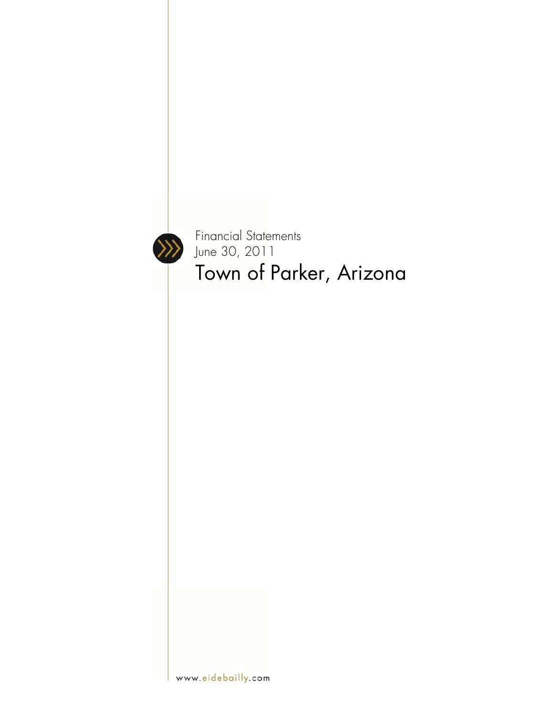

Financial Statements June 30, 2011 Town of Parker, Arizona

www.eidebailly.com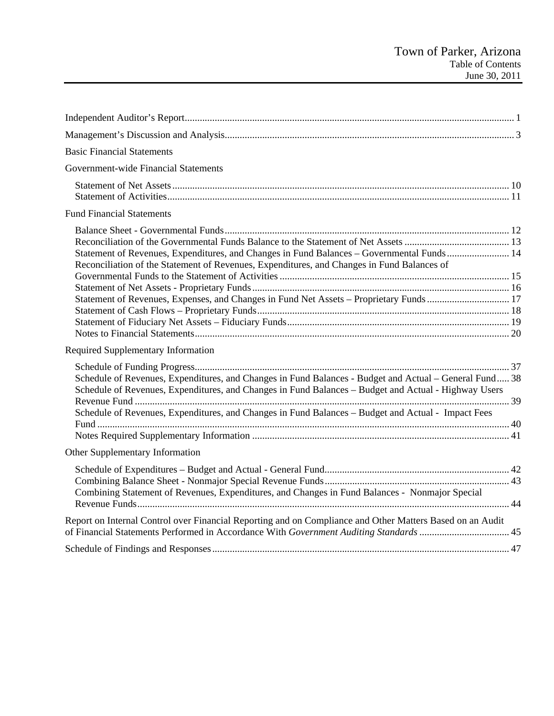| <b>Basic Financial Statements</b>                                                                                                                                                                              |  |
|----------------------------------------------------------------------------------------------------------------------------------------------------------------------------------------------------------------|--|
| Government-wide Financial Statements                                                                                                                                                                           |  |
|                                                                                                                                                                                                                |  |
|                                                                                                                                                                                                                |  |
| <b>Fund Financial Statements</b>                                                                                                                                                                               |  |
|                                                                                                                                                                                                                |  |
|                                                                                                                                                                                                                |  |
| Statement of Revenues, Expenditures, and Changes in Fund Balances - Governmental Funds  14                                                                                                                     |  |
| Reconciliation of the Statement of Revenues, Expenditures, and Changes in Fund Balances of                                                                                                                     |  |
|                                                                                                                                                                                                                |  |
|                                                                                                                                                                                                                |  |
| Statement of Revenues, Expenses, and Changes in Fund Net Assets - Proprietary Funds  17                                                                                                                        |  |
|                                                                                                                                                                                                                |  |
|                                                                                                                                                                                                                |  |
|                                                                                                                                                                                                                |  |
| Required Supplementary Information                                                                                                                                                                             |  |
|                                                                                                                                                                                                                |  |
| Schedule of Revenues, Expenditures, and Changes in Fund Balances - Budget and Actual – General Fund 38<br>Schedule of Revenues, Expenditures, and Changes in Fund Balances – Budget and Actual - Highway Users |  |
|                                                                                                                                                                                                                |  |
| Schedule of Revenues, Expenditures, and Changes in Fund Balances – Budget and Actual - Impact Fees                                                                                                             |  |
|                                                                                                                                                                                                                |  |
|                                                                                                                                                                                                                |  |
| Other Supplementary Information                                                                                                                                                                                |  |
|                                                                                                                                                                                                                |  |
|                                                                                                                                                                                                                |  |
| Combining Statement of Revenues, Expenditures, and Changes in Fund Balances - Nonmajor Special                                                                                                                 |  |
| Report on Internal Control over Financial Reporting and on Compliance and Other Matters Based on an Audit                                                                                                      |  |
| of Financial Statements Performed in Accordance With Government Auditing Standards  45                                                                                                                         |  |
|                                                                                                                                                                                                                |  |
|                                                                                                                                                                                                                |  |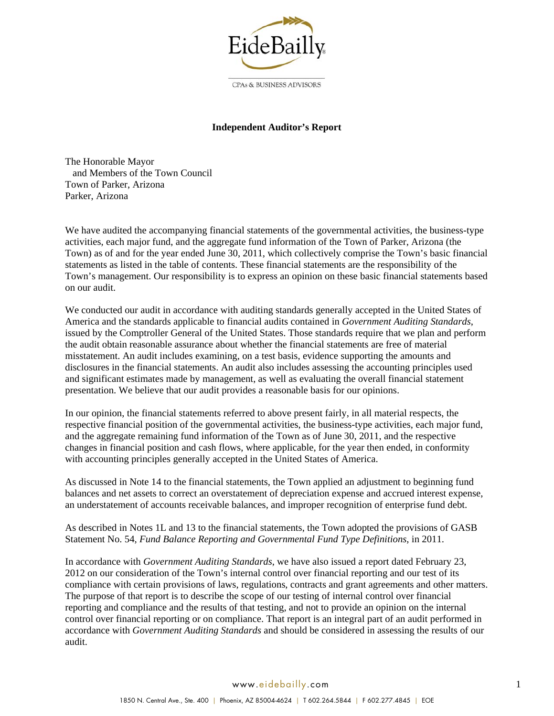

### **Independent Auditor's Report**

The Honorable Mayor and Members of the Town Council Town of Parker, Arizona Parker, Arizona

We have audited the accompanying financial statements of the governmental activities, the business-type activities, each major fund, and the aggregate fund information of the Town of Parker, Arizona (the Town) as of and for the year ended June 30, 2011, which collectively comprise the Town's basic financial statements as listed in the table of contents. These financial statements are the responsibility of the Town's management. Our responsibility is to express an opinion on these basic financial statements based on our audit.

We conducted our audit in accordance with auditing standards generally accepted in the United States of America and the standards applicable to financial audits contained in *Government Auditing Standards*, issued by the Comptroller General of the United States. Those standards require that we plan and perform the audit obtain reasonable assurance about whether the financial statements are free of material misstatement. An audit includes examining, on a test basis, evidence supporting the amounts and disclosures in the financial statements. An audit also includes assessing the accounting principles used and significant estimates made by management, as well as evaluating the overall financial statement presentation. We believe that our audit provides a reasonable basis for our opinions.

In our opinion, the financial statements referred to above present fairly, in all material respects, the respective financial position of the governmental activities, the business-type activities, each major fund, and the aggregate remaining fund information of the Town as of June 30, 2011, and the respective changes in financial position and cash flows, where applicable, for the year then ended, in conformity with accounting principles generally accepted in the United States of America.

As discussed in Note 14 to the financial statements, the Town applied an adjustment to beginning fund balances and net assets to correct an overstatement of depreciation expense and accrued interest expense, an understatement of accounts receivable balances, and improper recognition of enterprise fund debt.

As described in Notes 1L and 13 to the financial statements, the Town adopted the provisions of GASB Statement No. 54, *Fund Balance Reporting and Governmental Fund Type Definitions*, in 2011.

In accordance with *Government Auditing Standards*, we have also issued a report dated February 23, 2012 on our consideration of the Town's internal control over financial reporting and our test of its compliance with certain provisions of laws, regulations, contracts and grant agreements and other matters. The purpose of that report is to describe the scope of our testing of internal control over financial reporting and compliance and the results of that testing, and not to provide an opinion on the internal control over financial reporting or on compliance. That report is an integral part of an audit performed in accordance with *Government Auditing Standards* and should be considered in assessing the results of our audit.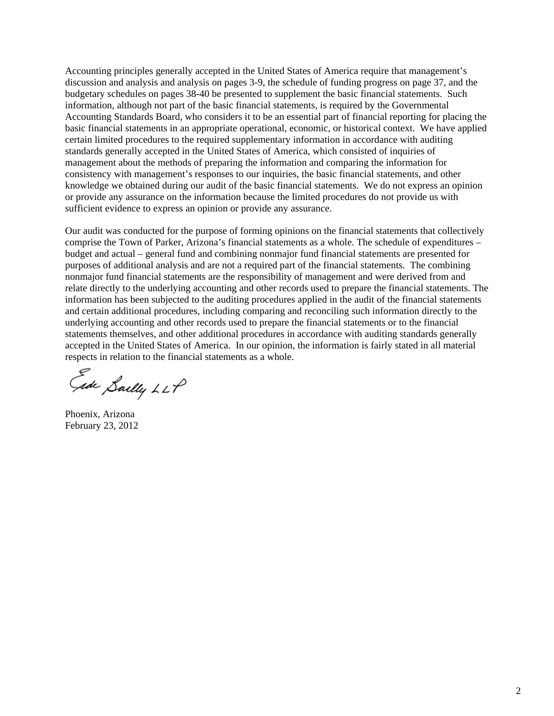Accounting principles generally accepted in the United States of America require that management's discussion and analysis and analysis on pages 3-9, the schedule of funding progress on page 37, and the budgetary schedules on pages 38-40 be presented to supplement the basic financial statements. Such information, although not part of the basic financial statements, is required by the Governmental Accounting Standards Board, who considers it to be an essential part of financial reporting for placing the basic financial statements in an appropriate operational, economic, or historical context. We have applied certain limited procedures to the required supplementary information in accordance with auditing standards generally accepted in the United States of America, which consisted of inquiries of management about the methods of preparing the information and comparing the information for consistency with management's responses to our inquiries, the basic financial statements, and other knowledge we obtained during our audit of the basic financial statements. We do not express an opinion or provide any assurance on the information because the limited procedures do not provide us with sufficient evidence to express an opinion or provide any assurance.

Our audit was conducted for the purpose of forming opinions on the financial statements that collectively comprise the Town of Parker, Arizona's financial statements as a whole. The schedule of expenditures – budget and actual – general fund and combining nonmajor fund financial statements are presented for purposes of additional analysis and are not a required part of the financial statements. The combining nonmajor fund financial statements are the responsibility of management and were derived from and relate directly to the underlying accounting and other records used to prepare the financial statements. The information has been subjected to the auditing procedures applied in the audit of the financial statements and certain additional procedures, including comparing and reconciling such information directly to the underlying accounting and other records used to prepare the financial statements or to the financial statements themselves, and other additional procedures in accordance with auditing standards generally accepted in the United States of America. In our opinion, the information is fairly stated in all material respects in relation to the financial statements as a whole.

Ede Saelly LLP

Phoenix, Arizona February 23, 2012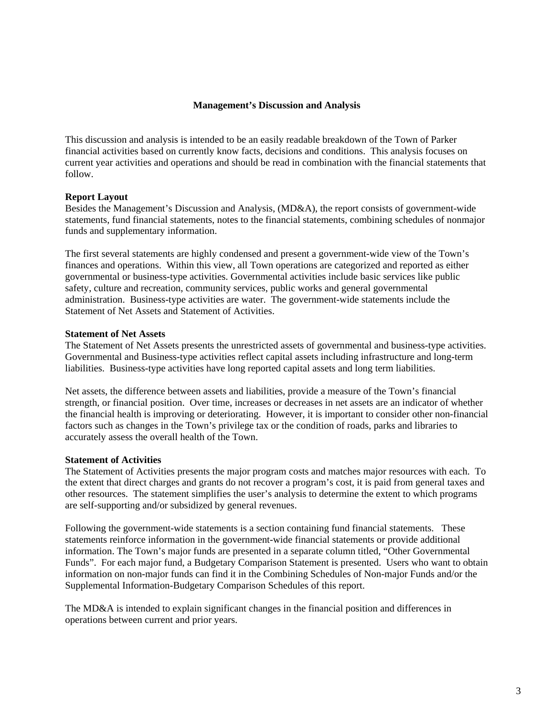#### **Management's Discussion and Analysis**

This discussion and analysis is intended to be an easily readable breakdown of the Town of Parker financial activities based on currently know facts, decisions and conditions. This analysis focuses on current year activities and operations and should be read in combination with the financial statements that follow.

#### **Report Layout**

Besides the Management's Discussion and Analysis, (MD&A), the report consists of government-wide statements, fund financial statements, notes to the financial statements, combining schedules of nonmajor funds and supplementary information.

The first several statements are highly condensed and present a government-wide view of the Town's finances and operations. Within this view, all Town operations are categorized and reported as either governmental or business-type activities. Governmental activities include basic services like public safety, culture and recreation, community services, public works and general governmental administration. Business-type activities are water. The government-wide statements include the Statement of Net Assets and Statement of Activities.

#### **Statement of Net Assets**

The Statement of Net Assets presents the unrestricted assets of governmental and business-type activities. Governmental and Business-type activities reflect capital assets including infrastructure and long-term liabilities. Business-type activities have long reported capital assets and long term liabilities.

Net assets, the difference between assets and liabilities, provide a measure of the Town's financial strength, or financial position. Over time, increases or decreases in net assets are an indicator of whether the financial health is improving or deteriorating. However, it is important to consider other non-financial factors such as changes in the Town's privilege tax or the condition of roads, parks and libraries to accurately assess the overall health of the Town.

#### **Statement of Activities**

The Statement of Activities presents the major program costs and matches major resources with each. To the extent that direct charges and grants do not recover a program's cost, it is paid from general taxes and other resources. The statement simplifies the user's analysis to determine the extent to which programs are self-supporting and/or subsidized by general revenues.

Following the government-wide statements is a section containing fund financial statements. These statements reinforce information in the government-wide financial statements or provide additional information. The Town's major funds are presented in a separate column titled, "Other Governmental Funds". For each major fund, a Budgetary Comparison Statement is presented. Users who want to obtain information on non-major funds can find it in the Combining Schedules of Non-major Funds and/or the Supplemental Information-Budgetary Comparison Schedules of this report.

The MD&A is intended to explain significant changes in the financial position and differences in operations between current and prior years.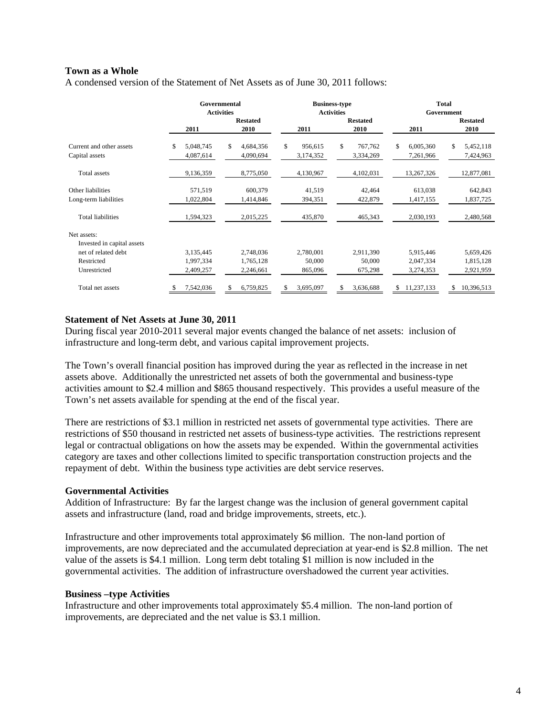### **Town as a Whole**

A condensed version of the Statement of Net Assets as of June 30, 2011 follows:

|                            |                  | Governmental<br><b>Activities</b> |                 | <b>Business-type</b><br><b>Activities</b> | <b>Total</b><br>Government |                  |  |  |  |
|----------------------------|------------------|-----------------------------------|-----------------|-------------------------------------------|----------------------------|------------------|--|--|--|
|                            |                  | <b>Restated</b>                   |                 | <b>Restated</b>                           |                            | <b>Restated</b>  |  |  |  |
|                            | 2011             | 2010                              | 2011            | 2010                                      | 2011                       | 2010             |  |  |  |
| Current and other assets   | \$.<br>5,048,745 | \$<br>4,684,356                   | \$<br>956,615   | \$<br>767,762                             | \$<br>6,005,360            | \$<br>5,452,118  |  |  |  |
| Capital assets             | 4,087,614        | 4,090,694                         | 3,174,352       | 3,334,269                                 | 7,261,966                  | 7,424,963        |  |  |  |
| Total assets               | 9,136,359        | 8,775,050                         | 4,130,967       | 4,102,031                                 | 13,267,326                 | 12,877,081       |  |  |  |
| Other liabilities          | 571,519          | 600,379                           | 41,519          | 42,464                                    | 613,038                    | 642,843          |  |  |  |
| Long-term liabilities      | 1,022,804        | 1,414,846                         | 394,351         | 422,879                                   | 1,417,155                  | 1,837,725        |  |  |  |
| <b>Total liabilities</b>   | 1,594,323        | 2,015,225                         | 435,870         | 465,343                                   | 2,030,193                  | 2,480,568        |  |  |  |
| Net assets:                |                  |                                   |                 |                                           |                            |                  |  |  |  |
| Invested in capital assets |                  |                                   |                 |                                           |                            |                  |  |  |  |
| net of related debt        | 3,135,445        | 2,748,036                         | 2,780,001       | 2,911,390                                 | 5,915,446                  | 5,659,426        |  |  |  |
| Restricted                 | 1,997,334        | 1,765,128                         | 50,000          | 50,000                                    | 2,047,334                  | 1,815,128        |  |  |  |
| Unrestricted               | 2,409,257        | 2,246,661                         | 865,096         | 675,298                                   | 3,274,353                  | 2,921,959        |  |  |  |
| Total net assets           | 7,542,036        | 6,759,825                         | 3,695,097<br>\$ | 3,636,688                                 | 11,237,133<br>\$           | \$<br>10,396,513 |  |  |  |

#### **Statement of Net Assets at June 30, 2011**

During fiscal year 2010-2011 several major events changed the balance of net assets: inclusion of infrastructure and long-term debt, and various capital improvement projects.

The Town's overall financial position has improved during the year as reflected in the increase in net assets above. Additionally the unrestricted net assets of both the governmental and business-type activities amount to \$2.4 million and \$865 thousand respectively. This provides a useful measure of the Town's net assets available for spending at the end of the fiscal year.

There are restrictions of \$3.1 million in restricted net assets of governmental type activities. There are restrictions of \$50 thousand in restricted net assets of business-type activities. The restrictions represent legal or contractual obligations on how the assets may be expended. Within the governmental activities category are taxes and other collections limited to specific transportation construction projects and the repayment of debt. Within the business type activities are debt service reserves.

### **Governmental Activities**

Addition of Infrastructure: By far the largest change was the inclusion of general government capital assets and infrastructure (land, road and bridge improvements, streets, etc.).

Infrastructure and other improvements total approximately \$6 million. The non-land portion of improvements, are now depreciated and the accumulated depreciation at year-end is \$2.8 million. The net value of the assets is \$4.1 million. Long term debt totaling \$1 million is now included in the governmental activities. The addition of infrastructure overshadowed the current year activities.

#### **Business –type Activities**

Infrastructure and other improvements total approximately \$5.4 million. The non-land portion of improvements, are depreciated and the net value is \$3.1 million.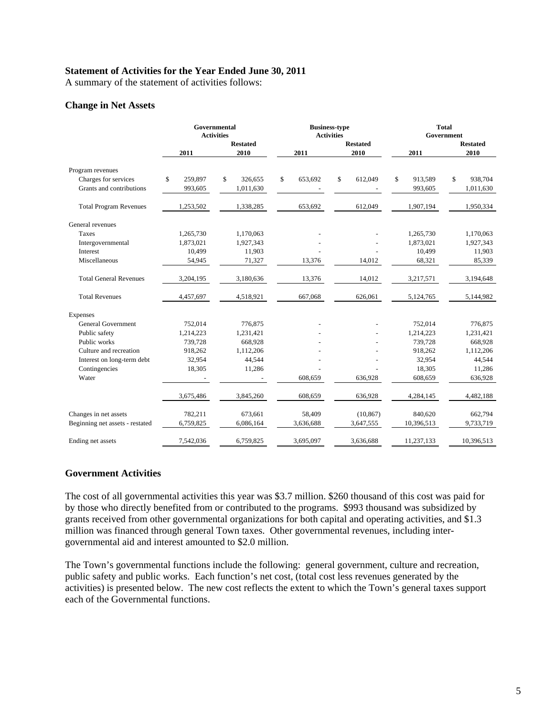#### **Statement of Activities for the Year Ended June 30, 2011**

A summary of the statement of activities follows:

#### **Change in Net Assets**

|                                 |               | Governmental<br><b>Activities</b> |               | <b>Business-type</b><br><b>Activities</b> | <b>Total</b><br>Government |                 |  |  |
|---------------------------------|---------------|-----------------------------------|---------------|-------------------------------------------|----------------------------|-----------------|--|--|
|                                 |               | <b>Restated</b>                   |               | <b>Restated</b>                           |                            | <b>Restated</b> |  |  |
|                                 | 2011          | 2010                              | 2011          | 2010                                      | 2011                       | 2010            |  |  |
| Program revenues                |               |                                   |               |                                           |                            |                 |  |  |
| Charges for services            | \$<br>259,897 | \$<br>326,655                     | \$<br>653,692 | \$<br>612,049                             | \$<br>913,589              | \$<br>938,704   |  |  |
| Grants and contributions        | 993,605       | 1,011,630                         |               |                                           | 993,605                    | 1,011,630       |  |  |
| <b>Total Program Revenues</b>   | 1,253,502     | 1,338,285                         | 653,692       | 612,049                                   | 1,907,194                  | 1,950,334       |  |  |
| General revenues                |               |                                   |               |                                           |                            |                 |  |  |
| Taxes                           | 1,265,730     | 1,170,063                         |               |                                           | 1,265,730                  | 1,170,063       |  |  |
| Intergovernmental               | 1,873,021     | 1,927,343                         |               |                                           | 1,873,021                  | 1,927,343       |  |  |
| Interest                        | 10,499        | 11,903                            |               |                                           | 10,499                     | 11,903          |  |  |
| Miscellaneous                   | 54,945        | 71,327                            | 13,376        | 14,012                                    | 68,321                     | 85,339          |  |  |
| <b>Total General Revenues</b>   | 3,204,195     | 3,180,636                         | 13,376        | 14,012                                    | 3,217,571                  | 3,194,648       |  |  |
| <b>Total Revenues</b>           | 4,457,697     | 4,518,921                         | 667.068       | 626.061                                   | 5,124,765                  | 5,144,982       |  |  |
| Expenses                        |               |                                   |               |                                           |                            |                 |  |  |
| <b>General Government</b>       | 752,014       | 776,875                           |               |                                           | 752,014                    | 776,875         |  |  |
| Public safety                   | 1,214,223     | 1,231,421                         |               |                                           | 1,214,223                  | 1,231,421       |  |  |
| Public works                    | 739,728       | 668,928                           |               |                                           | 739,728                    | 668,928         |  |  |
| Culture and recreation          | 918,262       | 1,112,206                         |               |                                           | 918,262                    | 1,112,206       |  |  |
| Interest on long-term debt      | 32,954        | 44,544                            |               |                                           | 32,954                     | 44,544          |  |  |
| Contingencies                   | 18,305        | 11,286                            |               |                                           | 18,305                     | 11,286          |  |  |
| Water                           |               |                                   | 608.659       | 636,928                                   | 608,659                    | 636,928         |  |  |
|                                 | 3,675,486     | 3,845,260                         | 608,659       | 636,928                                   | 4,284,145                  | 4,482,188       |  |  |
| Changes in net assets           | 782,211       | 673,661                           | 58,409        | (10, 867)                                 | 840,620                    | 662,794         |  |  |
| Beginning net assets - restated | 6,759,825     | 6,086,164                         | 3,636,688     | 3,647,555                                 | 10,396,513                 | 9,733,719       |  |  |
| Ending net assets               | 7.542.036     | 6,759,825                         | 3,695,097     | 3.636.688                                 | 11,237,133                 | 10,396,513      |  |  |

#### **Government Activities**

The cost of all governmental activities this year was \$3.7 million. \$260 thousand of this cost was paid for by those who directly benefited from or contributed to the programs. \$993 thousand was subsidized by grants received from other governmental organizations for both capital and operating activities, and \$1.3 million was financed through general Town taxes. Other governmental revenues, including intergovernmental aid and interest amounted to \$2.0 million.

The Town's governmental functions include the following: general government, culture and recreation, public safety and public works. Each function's net cost, (total cost less revenues generated by the activities) is presented below. The new cost reflects the extent to which the Town's general taxes support each of the Governmental functions.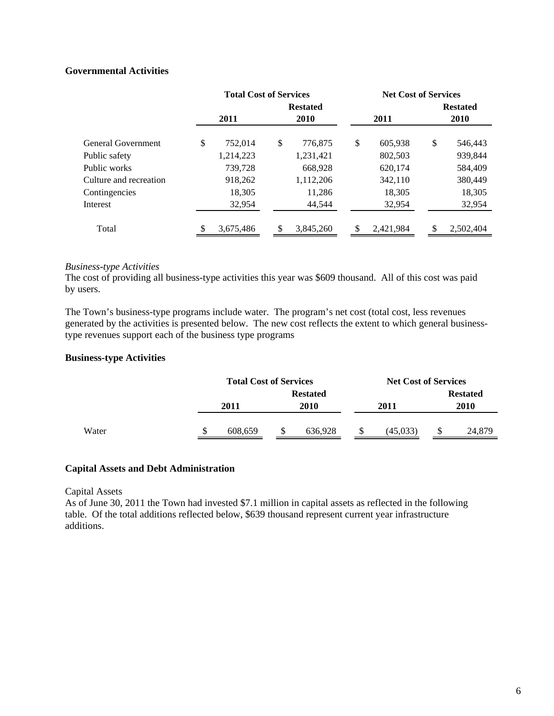# **Governmental Activities**

|                        |      | <b>Total Cost of Services</b> |                 |           | <b>Net Cost of Services</b> |           |                 |             |  |  |
|------------------------|------|-------------------------------|-----------------|-----------|-----------------------------|-----------|-----------------|-------------|--|--|
|                        |      |                               | <b>Restated</b> |           |                             |           | <b>Restated</b> |             |  |  |
|                        | 2011 |                               |                 | 2010      |                             | 2011      |                 | <b>2010</b> |  |  |
| General Government     | \$   | 752,014                       | \$              | 776,875   | \$                          | 605,938   | \$              | 546,443     |  |  |
| Public safety          |      | 1,214,223                     |                 | 1,231,421 |                             | 802,503   |                 | 939,844     |  |  |
| Public works           |      | 739,728                       |                 | 668,928   |                             | 620,174   |                 | 584,409     |  |  |
| Culture and recreation |      | 918,262                       |                 | 1,112,206 |                             | 342,110   |                 | 380,449     |  |  |
| Contingencies          |      | 18,305                        |                 | 11,286    |                             | 18,305    |                 | 18,305      |  |  |
| Interest               |      | 32,954                        |                 | 44,544    |                             | 32,954    |                 | 32,954      |  |  |
| Total                  |      | 3,675,486                     |                 | 3,845,260 | S.                          | 2,421,984 | S               | 2,502,404   |  |  |

### *Business-type Activities*

The cost of providing all business-type activities this year was \$609 thousand. All of this cost was paid by users.

The Town's business-type programs include water. The program's net cost (total cost, less revenues generated by the activities is presented below. The new cost reflects the extent to which general businesstype revenues support each of the business type programs

#### **Business-type Activities**

|       | <b>Total Cost of Services</b> |         |                 |         |    | <b>Net Cost of Services</b> |                 |  |  |
|-------|-------------------------------|---------|-----------------|---------|----|-----------------------------|-----------------|--|--|
|       |                               |         | <b>Restated</b> |         |    |                             | <b>Restated</b> |  |  |
|       |                               | 2011    |                 | 2010    |    | 2011                        | 2010            |  |  |
|       |                               |         |                 |         |    |                             |                 |  |  |
| Water | \$                            | 608,659 |                 | 636,928 | \$ | (45,033)                    | \$<br>24,879    |  |  |

#### **Capital Assets and Debt Administration**

#### Capital Assets

As of June 30, 2011 the Town had invested \$7.1 million in capital assets as reflected in the following table. Of the total additions reflected below, \$639 thousand represent current year infrastructure additions.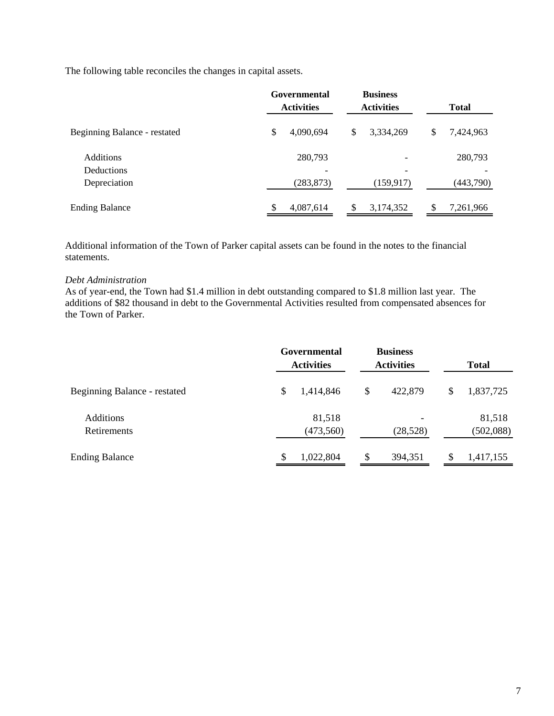The following table reconciles the changes in capital assets.

|                                       | Governmental<br><b>Activities</b> | <b>Business</b><br><b>Activities</b> | <b>Total</b>    |  |  |
|---------------------------------------|-----------------------------------|--------------------------------------|-----------------|--|--|
| Beginning Balance - restated          | \$<br>4,090,694                   | \$<br>3,334,269                      | \$<br>7,424,963 |  |  |
| <b>Additions</b><br><b>Deductions</b> | 280,793                           |                                      | 280,793         |  |  |
| Depreciation                          | (283, 873)                        | (159, 917)                           | (443,790)       |  |  |
| <b>Ending Balance</b>                 | \$<br>4,087,614                   | S<br>3,174,352                       | 7,261,966       |  |  |

Additional information of the Town of Parker capital assets can be found in the notes to the financial statements.

#### *Debt Administration*

As of year-end, the Town had \$1.4 million in debt outstanding compared to \$1.8 million last year. The additions of \$82 thousand in debt to the Governmental Activities resulted from compensated absences for the Town of Parker.

|                                 | Governmental<br><b>Activities</b> | <b>Business</b><br><b>Activities</b> | <b>Total</b>        |  |  |
|---------------------------------|-----------------------------------|--------------------------------------|---------------------|--|--|
| Beginning Balance - restated    | \$<br>1,414,846                   | \$<br>422,879                        | \$<br>1,837,725     |  |  |
| <b>Additions</b><br>Retirements | 81,518<br>(473, 560)              | (28,528)                             | 81,518<br>(502,088) |  |  |
| <b>Ending Balance</b>           | \$<br>1,022,804                   | \$<br>394,351                        | \$<br>1,417,155     |  |  |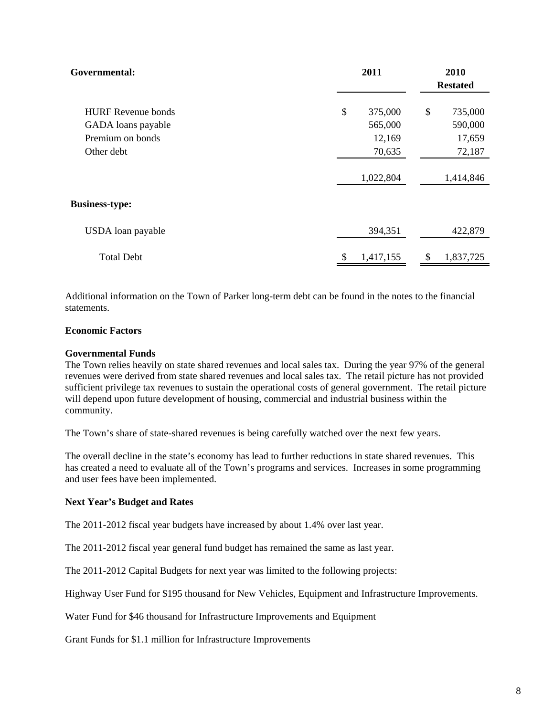| Governmental:                                                       | 2011                               | 2010<br><b>Restated</b>            |
|---------------------------------------------------------------------|------------------------------------|------------------------------------|
| <b>HURF</b> Revenue bonds<br>GADA loans payable<br>Premium on bonds | \$<br>375,000<br>565,000<br>12,169 | \$<br>735,000<br>590,000<br>17,659 |
| Other debt                                                          | 70,635<br>1,022,804                | 72,187<br>1,414,846                |
| <b>Business-type:</b>                                               |                                    |                                    |
| USDA loan payable                                                   | 394,351                            | 422,879                            |
| <b>Total Debt</b>                                                   | \$<br>1,417,155                    | 1,837,725<br>\$                    |

Additional information on the Town of Parker long-term debt can be found in the notes to the financial statements.

#### **Economic Factors**

#### **Governmental Funds**

The Town relies heavily on state shared revenues and local sales tax. During the year 97% of the general revenues were derived from state shared revenues and local sales tax. The retail picture has not provided sufficient privilege tax revenues to sustain the operational costs of general government. The retail picture will depend upon future development of housing, commercial and industrial business within the community.

The Town's share of state-shared revenues is being carefully watched over the next few years.

The overall decline in the state's economy has lead to further reductions in state shared revenues. This has created a need to evaluate all of the Town's programs and services. Increases in some programming and user fees have been implemented.

#### **Next Year's Budget and Rates**

The 2011-2012 fiscal year budgets have increased by about 1.4% over last year.

The 2011-2012 fiscal year general fund budget has remained the same as last year.

The 2011-2012 Capital Budgets for next year was limited to the following projects:

Highway User Fund for \$195 thousand for New Vehicles, Equipment and Infrastructure Improvements.

Water Fund for \$46 thousand for Infrastructure Improvements and Equipment

Grant Funds for \$1.1 million for Infrastructure Improvements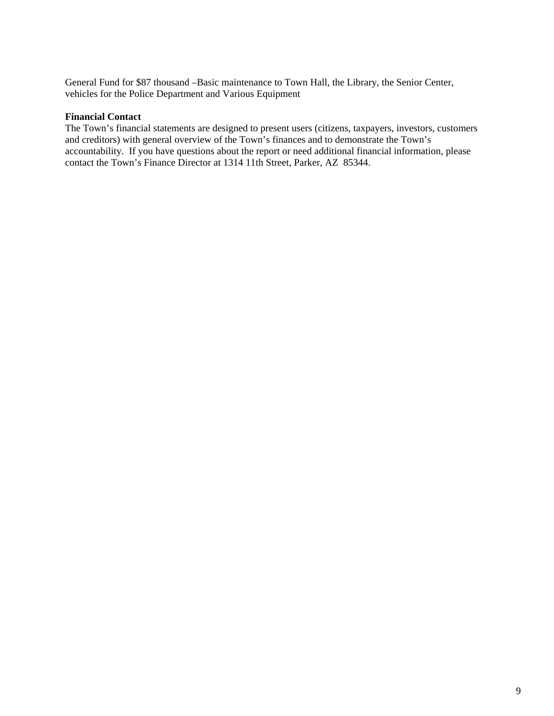General Fund for \$87 thousand –Basic maintenance to Town Hall, the Library, the Senior Center, vehicles for the Police Department and Various Equipment

#### **Financial Contact**

The Town's financial statements are designed to present users (citizens, taxpayers, investors, customers and creditors) with general overview of the Town's finances and to demonstrate the Town's accountability. If you have questions about the report or need additional financial information, please contact the Town's Finance Director at 1314 11th Street, Parker, AZ 85344.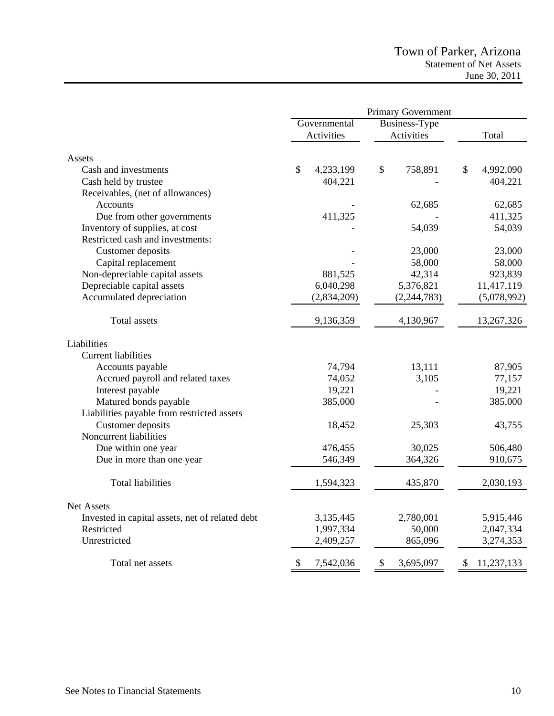|                                                                    | Primary Government |                      |                            |  |  |  |  |
|--------------------------------------------------------------------|--------------------|----------------------|----------------------------|--|--|--|--|
|                                                                    | Governmental       | <b>Business-Type</b> |                            |  |  |  |  |
|                                                                    | Activities         | Activities           | Total                      |  |  |  |  |
| Assets                                                             |                    |                      |                            |  |  |  |  |
| Cash and investments                                               | \$<br>4,233,199    | \$                   | 758,891<br>\$<br>4,992,090 |  |  |  |  |
| Cash held by trustee                                               | 404,221            |                      | 404,221                    |  |  |  |  |
| Receivables, (net of allowances)                                   |                    |                      |                            |  |  |  |  |
| Accounts                                                           |                    |                      | 62,685<br>62,685           |  |  |  |  |
|                                                                    | 411,325            |                      | 411,325                    |  |  |  |  |
| Due from other governments                                         |                    |                      | 54,039<br>54,039           |  |  |  |  |
| Inventory of supplies, at cost<br>Restricted cash and investments: |                    |                      |                            |  |  |  |  |
|                                                                    |                    |                      |                            |  |  |  |  |
| Customer deposits                                                  |                    |                      | 23,000<br>23,000           |  |  |  |  |
| Capital replacement                                                |                    |                      | 58,000<br>58,000           |  |  |  |  |
| Non-depreciable capital assets                                     | 881,525            |                      | 42,314<br>923,839          |  |  |  |  |
| Depreciable capital assets                                         | 6,040,298          | 5,376,821            | 11,417,119                 |  |  |  |  |
| Accumulated depreciation                                           | (2,834,209)        | (2, 244, 783)        | (5,078,992)                |  |  |  |  |
| <b>Total assets</b>                                                | 9,136,359          | 4,130,967            | 13,267,326                 |  |  |  |  |
| Liabilities                                                        |                    |                      |                            |  |  |  |  |
| <b>Current liabilities</b>                                         |                    |                      |                            |  |  |  |  |
| Accounts payable                                                   |                    | 74,794               | 13,111<br>87,905           |  |  |  |  |
| Accrued payroll and related taxes                                  |                    | 74,052               | 3,105<br>77,157            |  |  |  |  |
| Interest payable                                                   |                    | 19,221               | 19,221                     |  |  |  |  |
| Matured bonds payable                                              | 385,000            |                      | 385,000                    |  |  |  |  |
| Liabilities payable from restricted assets                         |                    |                      |                            |  |  |  |  |
| Customer deposits                                                  |                    | 18,452               | 25,303<br>43,755           |  |  |  |  |
| Noncurrent liabilities                                             |                    |                      |                            |  |  |  |  |
| Due within one year                                                | 476,455            |                      | 30,025<br>506,480          |  |  |  |  |
| Due in more than one year                                          | 546,349            |                      | 364,326<br>910,675         |  |  |  |  |
|                                                                    |                    |                      |                            |  |  |  |  |
| <b>Total liabilities</b>                                           | 1,594,323          |                      | 2,030,193<br>435,870       |  |  |  |  |
| <b>Net Assets</b>                                                  |                    |                      |                            |  |  |  |  |
| Invested in capital assets, net of related debt                    | 3,135,445          | 2,780,001            | 5,915,446                  |  |  |  |  |
| Restricted                                                         | 1,997,334          |                      | 2,047,334<br>50,000        |  |  |  |  |
| Unrestricted                                                       | 2,409,257          |                      | 3,274,353<br>865,096       |  |  |  |  |
|                                                                    |                    |                      |                            |  |  |  |  |
| Total net assets                                                   | \$<br>7,542,036    | \$<br>3,695,097      | \$<br>11,237,133           |  |  |  |  |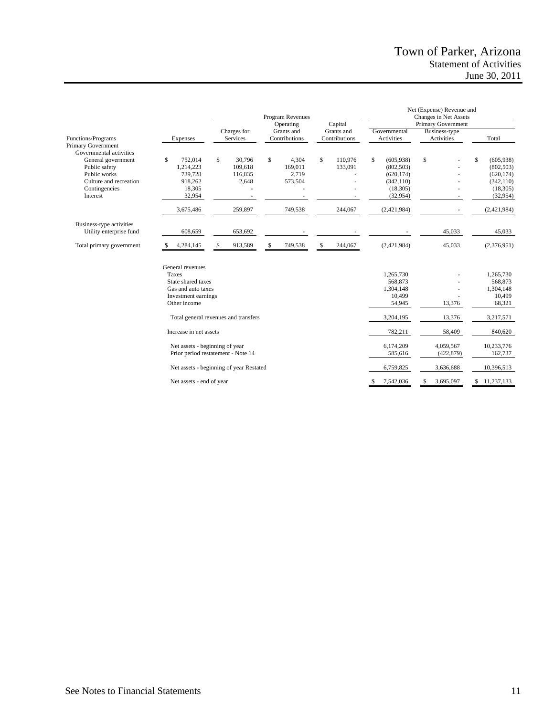|                                                                                                                                       |                                                                                                              |                                                        | Program Revenues                                                |                                     | Net (Expense) Revenue and<br>Changes in Net Assets                                                  |                             |                                                                                                    |  |  |
|---------------------------------------------------------------------------------------------------------------------------------------|--------------------------------------------------------------------------------------------------------------|--------------------------------------------------------|-----------------------------------------------------------------|-------------------------------------|-----------------------------------------------------------------------------------------------------|-----------------------------|----------------------------------------------------------------------------------------------------|--|--|
|                                                                                                                                       |                                                                                                              |                                                        | Operating                                                       | Capital                             |                                                                                                     | Primary Government          |                                                                                                    |  |  |
| <b>Functions/Programs</b><br>Primary Government                                                                                       | Expenses                                                                                                     | Charges for<br>Services                                | Grants and<br>Contributions                                     | Grants and<br>Contributions         | Governmental<br>Activities                                                                          | Business-type<br>Activities | Total                                                                                              |  |  |
| Governmental activities<br>General government<br>Public safety<br>Public works<br>Culture and recreation<br>Contingencies<br>Interest | S<br>752,014<br>1,214,223<br>739,728<br>918,262<br>18,305<br>32,954<br>3,675,486                             | \$<br>30,796<br>109,618<br>116,835<br>2,648<br>259,897 | $\mathbb{S}$<br>4,304<br>169,011<br>2,719<br>573,504<br>749,538 | \$<br>110,976<br>133,091<br>244,067 | \$<br>(605, 938)<br>(802, 503)<br>(620, 174)<br>(342, 110)<br>(18, 305)<br>(32, 954)<br>(2,421,984) | \$                          | \$<br>(605,938)<br>(802, 503)<br>(620, 174)<br>(342, 110)<br>(18, 305)<br>(32, 954)<br>(2,421,984) |  |  |
| Business-type activities<br>Utility enterprise fund                                                                                   | 608,659                                                                                                      | 653,692                                                |                                                                 |                                     |                                                                                                     | 45,033                      | 45,033                                                                                             |  |  |
| Total primary government                                                                                                              | 4,284,145<br>S                                                                                               | \$<br>913,589                                          | 749,538<br>S                                                    | \$<br>244,067                       | (2,421,984)                                                                                         | 45,033                      | (2,376,951)                                                                                        |  |  |
|                                                                                                                                       | General revenues<br>Taxes<br>State shared taxes<br>Gas and auto taxes<br>Investment earnings<br>Other income |                                                        |                                                                 |                                     | 1,265,730<br>568,873<br>1,304,148<br>10,499<br>54,945                                               | 13,376                      | 1,265,730<br>568,873<br>1,304,148<br>10,499<br>68,321                                              |  |  |
|                                                                                                                                       |                                                                                                              | Total general revenues and transfers                   |                                                                 |                                     | 3,204,195                                                                                           | 13,376                      | 3,217,571                                                                                          |  |  |
|                                                                                                                                       | Increase in net assets                                                                                       |                                                        |                                                                 |                                     | 782,211                                                                                             | 58,409                      | 840,620                                                                                            |  |  |
|                                                                                                                                       | Net assets - beginning of year                                                                               | Prior period restatement - Note 14                     |                                                                 |                                     | 6,174,209<br>585,616                                                                                | 4,059,567<br>(422, 879)     | 10,233,776<br>162,737                                                                              |  |  |
|                                                                                                                                       |                                                                                                              | Net assets - beginning of year Restated                |                                                                 |                                     | 6,759,825                                                                                           | 3,636,688                   | 10,396,513                                                                                         |  |  |
|                                                                                                                                       | Net assets - end of year                                                                                     |                                                        |                                                                 |                                     | 7,542,036<br>\$                                                                                     | 3,695,097<br>\$             | \$11,237,133                                                                                       |  |  |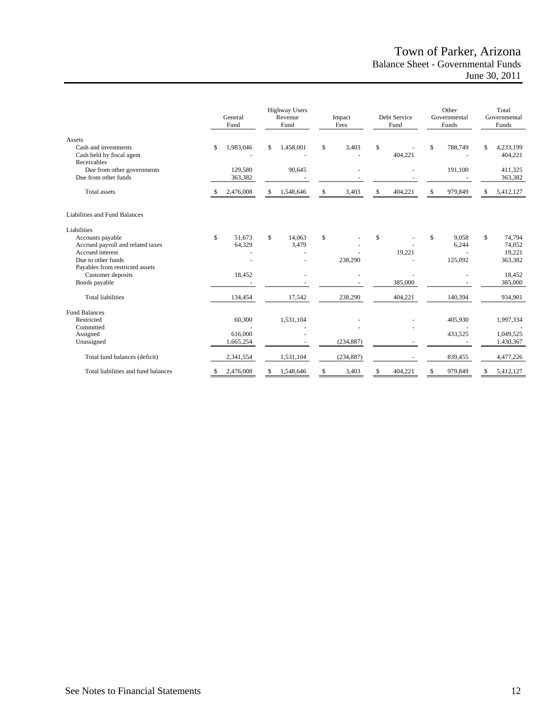# Town of Parker, Arizona Balance Sheet - Governmental Funds June 30, 2011

|                                                                                                 |    | General<br>Fund      |     | <b>Highway Users</b><br>Revenue<br>Fund | Impact<br>Fees |    | Debt Service<br>Fund |     | Other<br>Governmental<br>Funds |              | Total<br>Governmental<br>Funds        |
|-------------------------------------------------------------------------------------------------|----|----------------------|-----|-----------------------------------------|----------------|----|----------------------|-----|--------------------------------|--------------|---------------------------------------|
| Assets<br>Cash and investments<br>Cash held by fiscal agent<br>Receivables                      | \$ | 1,983,046            | \$  | 1,458,001                               | \$<br>3,403    | \$ | 404,221              | S   | 788,749                        | \$           | 4,233,199<br>404,221                  |
| Due from other governments<br>Due from other funds                                              |    | 129,580<br>363,382   |     | 90,645                                  |                |    |                      |     | 191,100                        |              | 411,325<br>363,382                    |
| <b>Total</b> assets                                                                             |    | 2,476,008            | S   | 1,548,646                               | \$<br>3,403    | \$ | 404,221              | S   | 979,849                        | \$           | 5,412,127                             |
| Liabilities and Fund Balances                                                                   |    |                      |     |                                         |                |    |                      |     |                                |              |                                       |
| Liabilities                                                                                     |    |                      |     |                                         |                |    |                      |     |                                |              |                                       |
| Accounts payable<br>Accrued payroll and related taxes<br>Accrued interest<br>Due to other funds | \$ | 51,673<br>64,329     | \$. | 14,063<br>3,479                         | \$<br>238,290  | \$ | 19,221               | \$. | 9,058<br>6,244<br>125,092      | $\mathbb{S}$ | 74,794<br>74,052<br>19,221<br>363,382 |
| Payables from restricted assets<br>Customer deposits<br>Bonds payable                           |    | 18,452               |     |                                         |                |    | 385,000              |     |                                |              | 18,452<br>385,000                     |
| <b>Total liabilities</b>                                                                        |    | 134,454              |     | 17,542                                  | 238,290        |    | 404,221              |     | 140,394                        |              | 934,901                               |
| <b>Fund Balances</b>                                                                            |    |                      |     |                                         |                |    |                      |     |                                |              |                                       |
| Restricted                                                                                      |    | 60,300               |     | 1,531,104                               |                |    |                      |     | 405,930                        |              | 1,997,334                             |
| Committed<br>Assigned<br>Unassigned                                                             |    | 616,000<br>1,665,254 |     |                                         | (234, 887)     |    |                      |     | 433,525                        |              | 1,049,525<br>1,430,367                |
| Total fund balances (deficit)                                                                   |    | 2,341,554            |     | 1,531,104                               | (234, 887)     |    |                      |     | 839,455                        |              | 4,477,226                             |
| Total liabilities and fund balances                                                             | S  | 2,476,008            | S   | 1,548,646                               | \$<br>3,403    | S  | 404,221              | S   | 979,849                        |              | 5,412,127                             |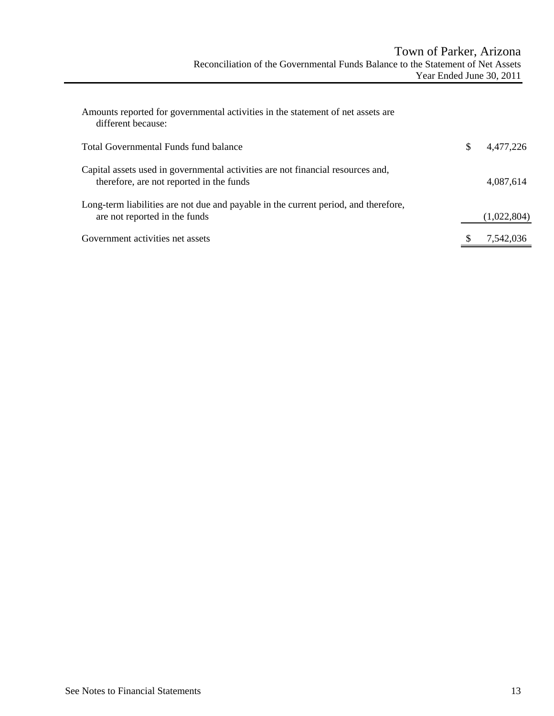| Amounts reported for governmental activities in the statement of net assets are<br>different because:                       |                 |
|-----------------------------------------------------------------------------------------------------------------------------|-----------------|
| Total Governmental Funds fund balance                                                                                       | \$<br>4.477.226 |
| Capital assets used in governmental activities are not financial resources and,<br>therefore, are not reported in the funds | 4,087,614       |
| Long-term liabilities are not due and payable in the current period, and therefore,<br>are not reported in the funds        | (1,022,804)     |
| Government activities net assets                                                                                            | 7,542,036       |
|                                                                                                                             |                 |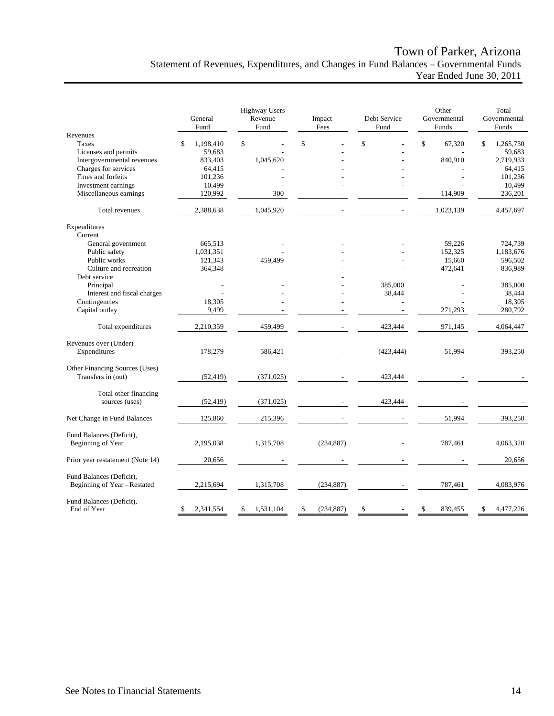# Town of Parker, Arizona Statement of Revenues, Expenditures, and Changes in Fund Balances – Governmental Funds Year Ended June 30, 2011

|                                                          | General<br>Fund | <b>Highway Users</b><br>Revenue<br>Fund | Impact<br>Fees   | Debt Service<br>Fund | Other<br>Governmental<br>Funds | Total<br>Governmental<br>Funds |
|----------------------------------------------------------|-----------------|-----------------------------------------|------------------|----------------------|--------------------------------|--------------------------------|
| Revenues                                                 |                 |                                         |                  |                      |                                |                                |
| Taxes                                                    | \$<br>1,198,410 | $\mathbf S$                             | \$               | \$                   | \$<br>67,320                   | \$<br>1,265,730                |
| Licenses and permits                                     | 59,683          |                                         |                  |                      |                                | 59,683                         |
| Intergovernmental revenues                               | 833,403         | 1,045,620                               |                  |                      | 840,910                        | 2,719,933                      |
| Charges for services                                     | 64,415          |                                         |                  |                      |                                | 64,415                         |
| Fines and forfeits                                       | 101,236         |                                         |                  |                      |                                | 101,236                        |
| Investment earnings                                      | 10,499          |                                         |                  |                      |                                | 10,499                         |
| Miscellaneous earnings                                   | 120,992         | 300                                     |                  |                      | 114,909                        | 236,201                        |
| Total revenues                                           | 2,388,638       | 1,045,920                               |                  |                      | 1,023,139                      | 4,457,697                      |
| Expenditures                                             |                 |                                         |                  |                      |                                |                                |
| Current                                                  |                 |                                         |                  |                      |                                |                                |
| General government                                       | 665,513         |                                         |                  |                      | 59,226                         | 724,739                        |
| Public safety                                            | 1,031,351       |                                         |                  |                      | 152,325                        | 1,183,676                      |
| Public works                                             | 121,343         | 459,499                                 |                  |                      | 15,660                         | 596,502                        |
| Culture and recreation                                   | 364,348         |                                         |                  |                      | 472,641                        | 836,989                        |
| Debt service                                             |                 |                                         |                  |                      |                                |                                |
| Principal                                                |                 |                                         |                  | 385,000              |                                | 385,000                        |
| Interest and fiscal charges                              |                 |                                         |                  | 38,444               |                                | 38,444                         |
| Contingencies                                            | 18,305          |                                         |                  |                      |                                | 18,305                         |
| Capital outlay                                           | 9,499           |                                         |                  |                      | 271,293                        | 280,792                        |
| Total expenditures                                       | 2,210,359       | 459,499                                 |                  | 423,444              | 971,145                        | 4,064,447                      |
| Revenues over (Under)<br>Expenditures                    | 178,279         | 586,421                                 |                  | (423, 444)           | 51,994                         | 393,250                        |
| Other Financing Sources (Uses)<br>Transfers in (out)     | (52, 419)       | (371, 025)                              |                  | 423,444              |                                |                                |
| Total other financing<br>sources (uses)                  | (52, 419)       | (371, 025)                              |                  | 423,444              |                                |                                |
|                                                          |                 |                                         |                  |                      |                                | 393,250                        |
| Net Change in Fund Balances                              | 125,860         | 215,396                                 |                  |                      | 51,994                         |                                |
| Fund Balances (Deficit),<br>Beginning of Year            | 2,195,038       | 1,315,708                               | (234, 887)       |                      | 787,461                        | 4,063,320                      |
| Prior year restatement (Note 14)                         | 20,656          |                                         |                  |                      |                                | 20,656                         |
| Fund Balances (Deficit),<br>Beginning of Year - Restated | 2,215,694       | 1,315,708                               | (234, 887)       |                      | 787,461                        | 4,083,976                      |
| Fund Balances (Deficit),<br>End of Year                  | S<br>2,341,554  | 1,531,104<br>\$                         | \$<br>(234, 887) | \$                   | 839,455<br>\$                  | \$<br>4,477,226                |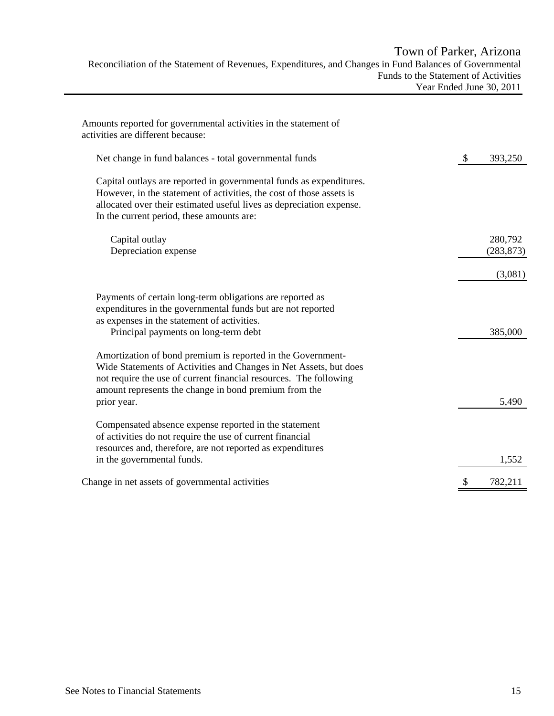# Town of Parker, Arizona Reconciliation of the Statement of Revenues, Expenditures, and Changes in Fund Balances of Governmental Funds to the Statement of Activities Year Ended June 30, 2011

| Amounts reported for governmental activities in the statement of<br>activities are different because:                                                                                                                                                                         |               |            |
|-------------------------------------------------------------------------------------------------------------------------------------------------------------------------------------------------------------------------------------------------------------------------------|---------------|------------|
| Net change in fund balances - total governmental funds                                                                                                                                                                                                                        | $\mathcal{S}$ | 393,250    |
| Capital outlays are reported in governmental funds as expenditures.<br>However, in the statement of activities, the cost of those assets is<br>allocated over their estimated useful lives as depreciation expense.<br>In the current period, these amounts are:              |               |            |
| Capital outlay                                                                                                                                                                                                                                                                |               | 280,792    |
| Depreciation expense                                                                                                                                                                                                                                                          |               | (283, 873) |
|                                                                                                                                                                                                                                                                               |               | (3,081)    |
| Payments of certain long-term obligations are reported as<br>expenditures in the governmental funds but are not reported<br>as expenses in the statement of activities.<br>Principal payments on long-term debt                                                               |               | 385,000    |
| Amortization of bond premium is reported in the Government-<br>Wide Statements of Activities and Changes in Net Assets, but does<br>not require the use of current financial resources. The following<br>amount represents the change in bond premium from the<br>prior year. |               | 5,490      |
| Compensated absence expense reported in the statement<br>of activities do not require the use of current financial<br>resources and, therefore, are not reported as expenditures<br>in the governmental funds.                                                                |               | 1,552      |
| Change in net assets of governmental activities                                                                                                                                                                                                                               | \$            | 782,211    |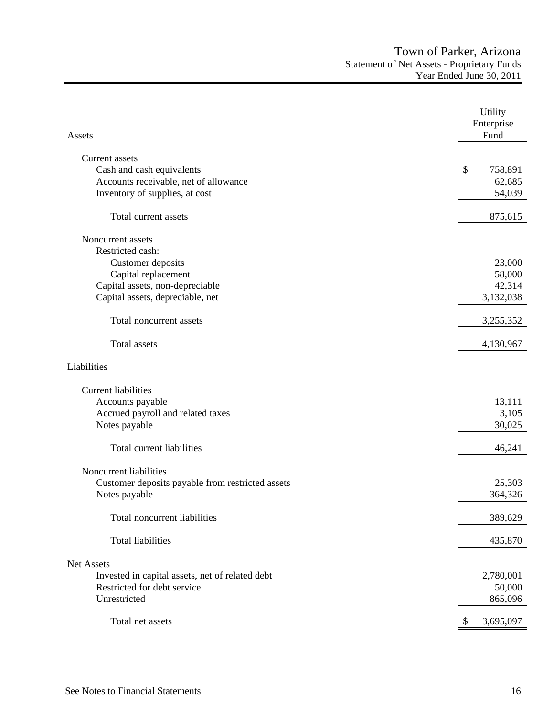| Assets                                           | Utility<br>Enterprise<br>Fund |
|--------------------------------------------------|-------------------------------|
| <b>Current assets</b>                            |                               |
| Cash and cash equivalents                        | \$<br>758,891                 |
| Accounts receivable, net of allowance            | 62,685                        |
| Inventory of supplies, at cost                   | 54,039                        |
| Total current assets                             | 875,615                       |
| Noncurrent assets                                |                               |
| Restricted cash:                                 |                               |
| Customer deposits                                | 23,000                        |
| Capital replacement                              | 58,000                        |
| Capital assets, non-depreciable                  | 42,314                        |
| Capital assets, depreciable, net                 | 3,132,038                     |
| Total noncurrent assets                          | 3,255,352                     |
| <b>Total</b> assets                              | 4,130,967                     |
| Liabilities                                      |                               |
| <b>Current liabilities</b>                       |                               |
| Accounts payable                                 | 13,111                        |
| Accrued payroll and related taxes                | 3,105                         |
| Notes payable                                    | 30,025                        |
| Total current liabilities                        | 46,241                        |
| Noncurrent liabilities                           |                               |
| Customer deposits payable from restricted assets | 25,303                        |
| Notes payable                                    | 364,326                       |
| Total noncurrent liabilities                     | 389,629                       |
| <b>Total liabilities</b>                         | 435,870                       |
| Net Assets                                       |                               |
| Invested in capital assets, net of related debt  | 2,780,001                     |
| Restricted for debt service                      | 50,000                        |
| Unrestricted                                     | 865,096                       |
| Total net assets                                 | 3,695,097                     |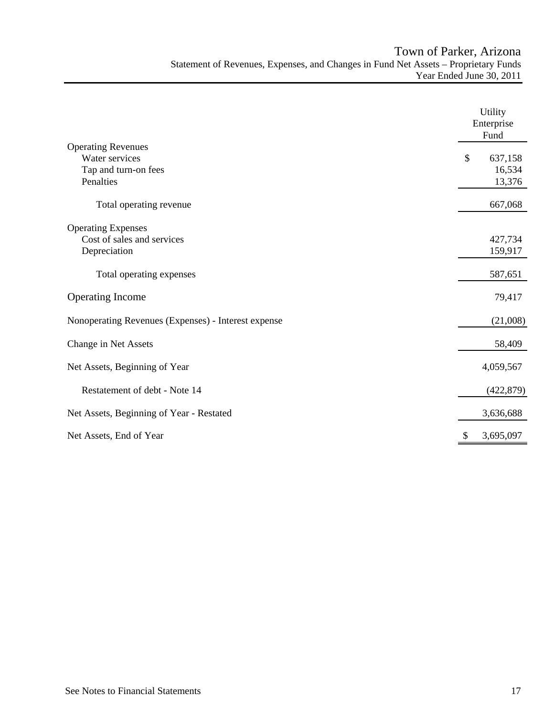|                                                     | Utility<br>Enterprise<br>Fund |
|-----------------------------------------------------|-------------------------------|
| <b>Operating Revenues</b>                           |                               |
| Water services                                      | \$<br>637,158                 |
| Tap and turn-on fees                                | 16,534                        |
| Penalties                                           | 13,376                        |
| Total operating revenue                             | 667,068                       |
| <b>Operating Expenses</b>                           |                               |
| Cost of sales and services                          | 427,734                       |
| Depreciation                                        | 159,917                       |
|                                                     |                               |
| Total operating expenses                            | 587,651                       |
| <b>Operating Income</b>                             | 79,417                        |
| Nonoperating Revenues (Expenses) - Interest expense | (21,008)                      |
| Change in Net Assets                                | 58,409                        |
| Net Assets, Beginning of Year                       | 4,059,567                     |
| Restatement of debt - Note 14                       | (422, 879)                    |
| Net Assets, Beginning of Year - Restated            | 3,636,688                     |
| Net Assets, End of Year                             | 3,695,097<br>\$               |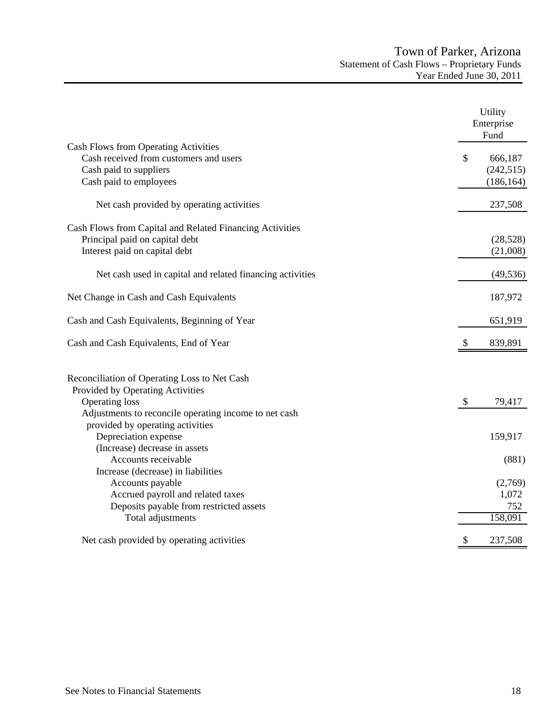|                                                           | Utility<br>Enterprise<br>Fund |
|-----------------------------------------------------------|-------------------------------|
| <b>Cash Flows from Operating Activities</b>               |                               |
| Cash received from customers and users                    | \$<br>666,187                 |
| Cash paid to suppliers                                    | (242, 515)                    |
| Cash paid to employees                                    | (186, 164)                    |
| Net cash provided by operating activities                 | 237,508                       |
| Cash Flows from Capital and Related Financing Activities  |                               |
| Principal paid on capital debt                            | (28, 528)                     |
| Interest paid on capital debt                             | (21,008)                      |
| Net cash used in capital and related financing activities | (49, 536)                     |
| Net Change in Cash and Cash Equivalents                   | 187,972                       |
| Cash and Cash Equivalents, Beginning of Year              | 651,919                       |
| Cash and Cash Equivalents, End of Year                    | 839,891                       |
| Reconciliation of Operating Loss to Net Cash              |                               |
| Provided by Operating Activities                          |                               |
| <b>Operating loss</b>                                     | \$<br>79,417                  |
| Adjustments to reconcile operating income to net cash     |                               |
| provided by operating activities                          |                               |
| Depreciation expense                                      | 159,917                       |
| (Increase) decrease in assets                             |                               |
| Accounts receivable                                       | (881)                         |
| Increase (decrease) in liabilities                        |                               |
| Accounts payable                                          | (2,769)                       |
| Accrued payroll and related taxes                         | 1,072                         |
| Deposits payable from restricted assets                   | 752                           |
| Total adjustments                                         | 158,091                       |
| Net cash provided by operating activities                 | \$<br>237,508                 |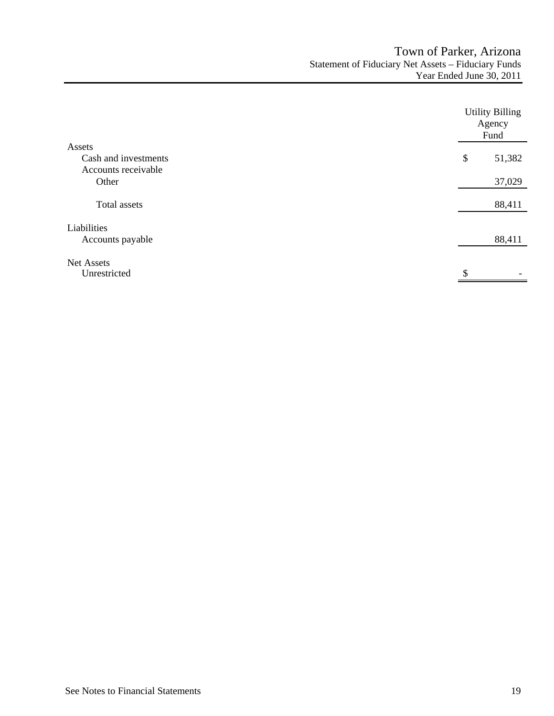|                                   | <b>Utility Billing</b><br>Agency<br>Fund |        |
|-----------------------------------|------------------------------------------|--------|
| Assets                            |                                          |        |
| Cash and investments              | \$                                       | 51,382 |
| Accounts receivable               |                                          |        |
| Other                             |                                          | 37,029 |
| Total assets                      |                                          | 88,411 |
| Liabilities<br>Accounts payable   |                                          | 88,411 |
| <b>Net Assets</b><br>Unrestricted | \$.                                      |        |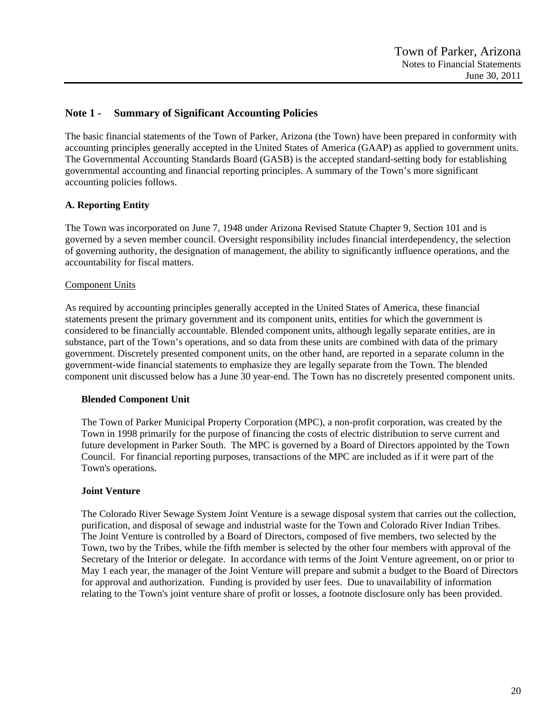# **Note 1 - Summary of Significant Accounting Policies**

The basic financial statements of the Town of Parker, Arizona (the Town) have been prepared in conformity with accounting principles generally accepted in the United States of America (GAAP) as applied to government units. The Governmental Accounting Standards Board (GASB) is the accepted standard-setting body for establishing governmental accounting and financial reporting principles. A summary of the Town's more significant accounting policies follows.

# **A. Reporting Entity**

The Town was incorporated on June 7, 1948 under Arizona Revised Statute Chapter 9, Section 101 and is governed by a seven member council. Oversight responsibility includes financial interdependency, the selection of governing authority, the designation of management, the ability to significantly influence operations, and the accountability for fiscal matters.

### Component Units

As required by accounting principles generally accepted in the United States of America, these financial statements present the primary government and its component units, entities for which the government is considered to be financially accountable. Blended component units, although legally separate entities, are in substance, part of the Town's operations, and so data from these units are combined with data of the primary government. Discretely presented component units, on the other hand, are reported in a separate column in the government-wide financial statements to emphasize they are legally separate from the Town. The blended component unit discussed below has a June 30 year-end. The Town has no discretely presented component units.

### **Blended Component Unit**

The Town of Parker Municipal Property Corporation (MPC), a non-profit corporation, was created by the Town in 1998 primarily for the purpose of financing the costs of electric distribution to serve current and future development in Parker South. The MPC is governed by a Board of Directors appointed by the Town Council. For financial reporting purposes, transactions of the MPC are included as if it were part of the Town's operations.

# **Joint Venture**

The Colorado River Sewage System Joint Venture is a sewage disposal system that carries out the collection, purification, and disposal of sewage and industrial waste for the Town and Colorado River Indian Tribes. The Joint Venture is controlled by a Board of Directors, composed of five members, two selected by the Town, two by the Tribes, while the fifth member is selected by the other four members with approval of the Secretary of the Interior or delegate. In accordance with terms of the Joint Venture agreement, on or prior to May 1 each year, the manager of the Joint Venture will prepare and submit a budget to the Board of Directors for approval and authorization. Funding is provided by user fees. Due to unavailability of information relating to the Town's joint venture share of profit or losses, a footnote disclosure only has been provided.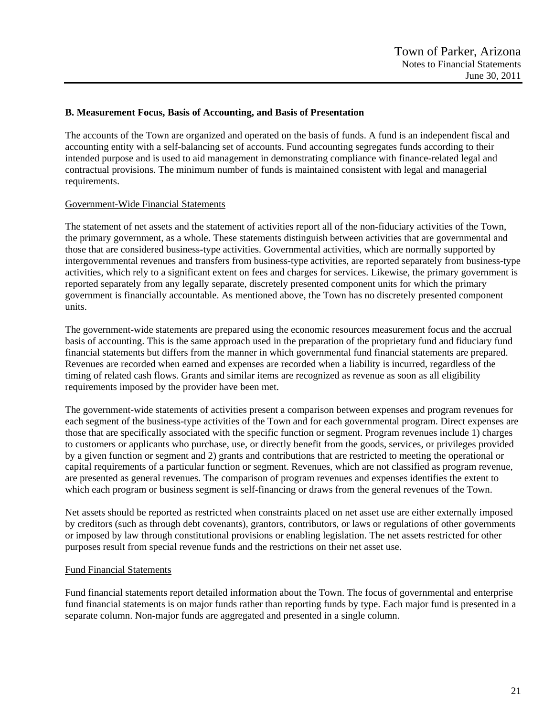### **B. Measurement Focus, Basis of Accounting, and Basis of Presentation**

The accounts of the Town are organized and operated on the basis of funds. A fund is an independent fiscal and accounting entity with a self-balancing set of accounts. Fund accounting segregates funds according to their intended purpose and is used to aid management in demonstrating compliance with finance-related legal and contractual provisions. The minimum number of funds is maintained consistent with legal and managerial requirements.

### Government-Wide Financial Statements

The statement of net assets and the statement of activities report all of the non-fiduciary activities of the Town, the primary government, as a whole. These statements distinguish between activities that are governmental and those that are considered business-type activities. Governmental activities, which are normally supported by intergovernmental revenues and transfers from business-type activities, are reported separately from business-type activities, which rely to a significant extent on fees and charges for services. Likewise, the primary government is reported separately from any legally separate, discretely presented component units for which the primary government is financially accountable. As mentioned above, the Town has no discretely presented component units.

The government-wide statements are prepared using the economic resources measurement focus and the accrual basis of accounting. This is the same approach used in the preparation of the proprietary fund and fiduciary fund financial statements but differs from the manner in which governmental fund financial statements are prepared. Revenues are recorded when earned and expenses are recorded when a liability is incurred, regardless of the timing of related cash flows. Grants and similar items are recognized as revenue as soon as all eligibility requirements imposed by the provider have been met.

The government-wide statements of activities present a comparison between expenses and program revenues for each segment of the business-type activities of the Town and for each governmental program. Direct expenses are those that are specifically associated with the specific function or segment. Program revenues include 1) charges to customers or applicants who purchase, use, or directly benefit from the goods, services, or privileges provided by a given function or segment and 2) grants and contributions that are restricted to meeting the operational or capital requirements of a particular function or segment. Revenues, which are not classified as program revenue, are presented as general revenues. The comparison of program revenues and expenses identifies the extent to which each program or business segment is self-financing or draws from the general revenues of the Town.

Net assets should be reported as restricted when constraints placed on net asset use are either externally imposed by creditors (such as through debt covenants), grantors, contributors, or laws or regulations of other governments or imposed by law through constitutional provisions or enabling legislation. The net assets restricted for other purposes result from special revenue funds and the restrictions on their net asset use.

### Fund Financial Statements

Fund financial statements report detailed information about the Town. The focus of governmental and enterprise fund financial statements is on major funds rather than reporting funds by type. Each major fund is presented in a separate column. Non-major funds are aggregated and presented in a single column.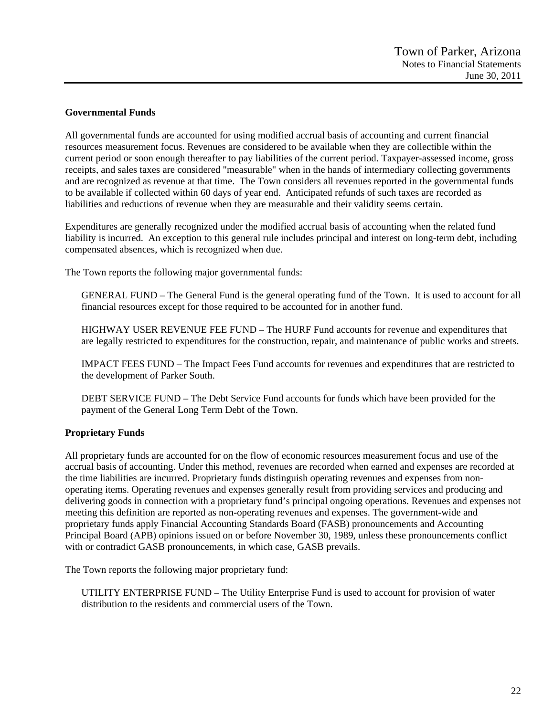### **Governmental Funds**

All governmental funds are accounted for using modified accrual basis of accounting and current financial resources measurement focus. Revenues are considered to be available when they are collectible within the current period or soon enough thereafter to pay liabilities of the current period. Taxpayer-assessed income, gross receipts, and sales taxes are considered "measurable" when in the hands of intermediary collecting governments and are recognized as revenue at that time. The Town considers all revenues reported in the governmental funds to be available if collected within 60 days of year end. Anticipated refunds of such taxes are recorded as liabilities and reductions of revenue when they are measurable and their validity seems certain.

Expenditures are generally recognized under the modified accrual basis of accounting when the related fund liability is incurred. An exception to this general rule includes principal and interest on long-term debt, including compensated absences, which is recognized when due.

The Town reports the following major governmental funds:

GENERAL FUND – The General Fund is the general operating fund of the Town. It is used to account for all financial resources except for those required to be accounted for in another fund.

HIGHWAY USER REVENUE FEE FUND – The HURF Fund accounts for revenue and expenditures that are legally restricted to expenditures for the construction, repair, and maintenance of public works and streets.

IMPACT FEES FUND – The Impact Fees Fund accounts for revenues and expenditures that are restricted to the development of Parker South.

DEBT SERVICE FUND – The Debt Service Fund accounts for funds which have been provided for the payment of the General Long Term Debt of the Town.

### **Proprietary Funds**

All proprietary funds are accounted for on the flow of economic resources measurement focus and use of the accrual basis of accounting. Under this method, revenues are recorded when earned and expenses are recorded at the time liabilities are incurred. Proprietary funds distinguish operating revenues and expenses from nonoperating items. Operating revenues and expenses generally result from providing services and producing and delivering goods in connection with a proprietary fund's principal ongoing operations. Revenues and expenses not meeting this definition are reported as non-operating revenues and expenses. The government-wide and proprietary funds apply Financial Accounting Standards Board (FASB) pronouncements and Accounting Principal Board (APB) opinions issued on or before November 30, 1989, unless these pronouncements conflict with or contradict GASB pronouncements, in which case, GASB prevails.

The Town reports the following major proprietary fund:

UTILITY ENTERPRISE FUND – The Utility Enterprise Fund is used to account for provision of water distribution to the residents and commercial users of the Town.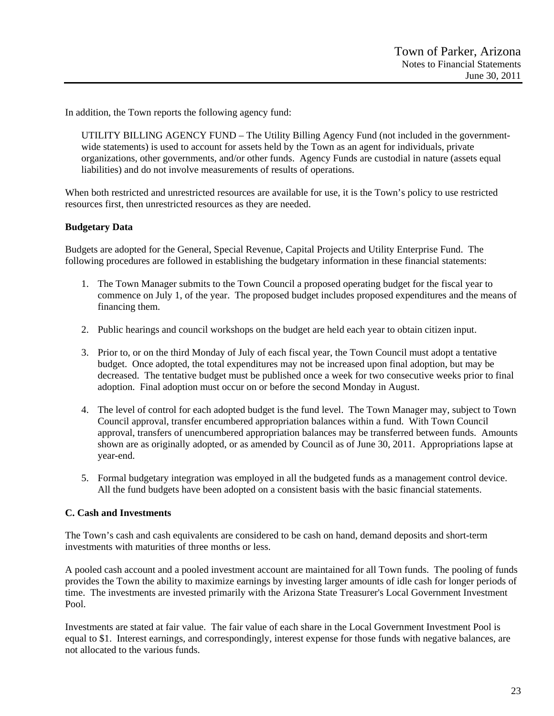In addition, the Town reports the following agency fund:

UTILITY BILLING AGENCY FUND – The Utility Billing Agency Fund (not included in the governmentwide statements) is used to account for assets held by the Town as an agent for individuals, private organizations, other governments, and/or other funds. Agency Funds are custodial in nature (assets equal liabilities) and do not involve measurements of results of operations.

When both restricted and unrestricted resources are available for use, it is the Town's policy to use restricted resources first, then unrestricted resources as they are needed.

### **Budgetary Data**

Budgets are adopted for the General, Special Revenue, Capital Projects and Utility Enterprise Fund. The following procedures are followed in establishing the budgetary information in these financial statements:

- 1. The Town Manager submits to the Town Council a proposed operating budget for the fiscal year to commence on July 1, of the year. The proposed budget includes proposed expenditures and the means of financing them.
- 2. Public hearings and council workshops on the budget are held each year to obtain citizen input.
- 3. Prior to, or on the third Monday of July of each fiscal year, the Town Council must adopt a tentative budget. Once adopted, the total expenditures may not be increased upon final adoption, but may be decreased. The tentative budget must be published once a week for two consecutive weeks prior to final adoption. Final adoption must occur on or before the second Monday in August.
- 4. The level of control for each adopted budget is the fund level. The Town Manager may, subject to Town Council approval, transfer encumbered appropriation balances within a fund. With Town Council approval, transfers of unencumbered appropriation balances may be transferred between funds. Amounts shown are as originally adopted, or as amended by Council as of June 30, 2011. Appropriations lapse at year-end.
- 5. Formal budgetary integration was employed in all the budgeted funds as a management control device. All the fund budgets have been adopted on a consistent basis with the basic financial statements.

### **C. Cash and Investments**

The Town's cash and cash equivalents are considered to be cash on hand, demand deposits and short-term investments with maturities of three months or less.

A pooled cash account and a pooled investment account are maintained for all Town funds. The pooling of funds provides the Town the ability to maximize earnings by investing larger amounts of idle cash for longer periods of time. The investments are invested primarily with the Arizona State Treasurer's Local Government Investment Pool.

Investments are stated at fair value. The fair value of each share in the Local Government Investment Pool is equal to \$1. Interest earnings, and correspondingly, interest expense for those funds with negative balances, are not allocated to the various funds.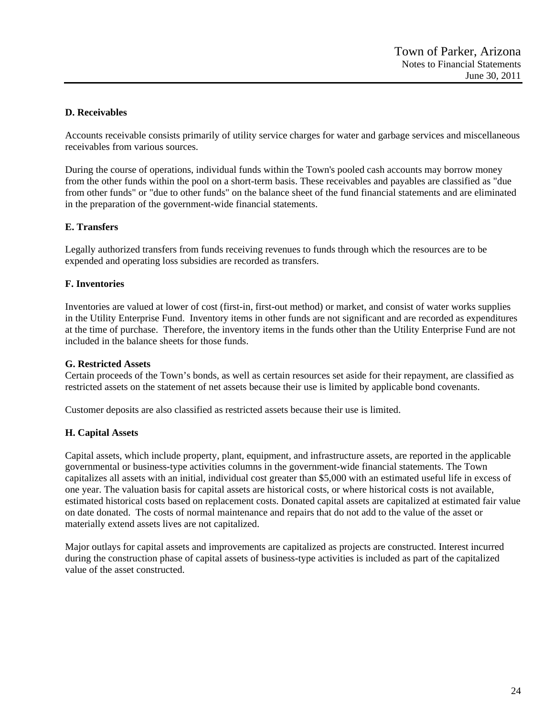# **D. Receivables**

Accounts receivable consists primarily of utility service charges for water and garbage services and miscellaneous receivables from various sources.

During the course of operations, individual funds within the Town's pooled cash accounts may borrow money from the other funds within the pool on a short-term basis. These receivables and payables are classified as "due from other funds" or "due to other funds" on the balance sheet of the fund financial statements and are eliminated in the preparation of the government-wide financial statements.

### **E. Transfers**

Legally authorized transfers from funds receiving revenues to funds through which the resources are to be expended and operating loss subsidies are recorded as transfers.

### **F. Inventories**

Inventories are valued at lower of cost (first-in, first-out method) or market, and consist of water works supplies in the Utility Enterprise Fund. Inventory items in other funds are not significant and are recorded as expenditures at the time of purchase. Therefore, the inventory items in the funds other than the Utility Enterprise Fund are not included in the balance sheets for those funds.

### **G. Restricted Assets**

Certain proceeds of the Town's bonds, as well as certain resources set aside for their repayment, are classified as restricted assets on the statement of net assets because their use is limited by applicable bond covenants.

Customer deposits are also classified as restricted assets because their use is limited.

### **H. Capital Assets**

Capital assets, which include property, plant, equipment, and infrastructure assets, are reported in the applicable governmental or business-type activities columns in the government-wide financial statements. The Town capitalizes all assets with an initial, individual cost greater than \$5,000 with an estimated useful life in excess of one year. The valuation basis for capital assets are historical costs, or where historical costs is not available, estimated historical costs based on replacement costs. Donated capital assets are capitalized at estimated fair value on date donated. The costs of normal maintenance and repairs that do not add to the value of the asset or materially extend assets lives are not capitalized.

Major outlays for capital assets and improvements are capitalized as projects are constructed. Interest incurred during the construction phase of capital assets of business-type activities is included as part of the capitalized value of the asset constructed.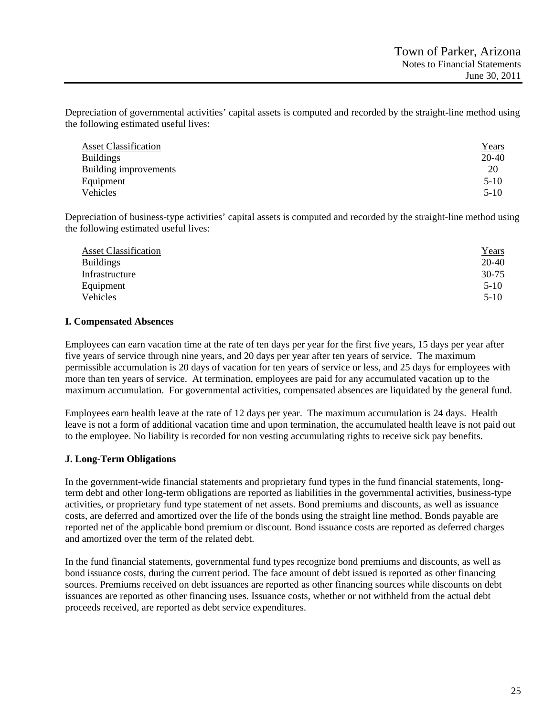Depreciation of governmental activities' capital assets is computed and recorded by the straight-line method using the following estimated useful lives:

| <b>Asset Classification</b> | <u>Years</u> |
|-----------------------------|--------------|
| <b>Buildings</b>            | 20-40        |
| Building improvements       | 20           |
| Equipment                   | $5-10$       |
| Vehicles                    | $5-10$       |

Depreciation of business-type activities' capital assets is computed and recorded by the straight-line method using the following estimated useful lives:

| <b>Asset Classification</b> | <u>Years</u> |
|-----------------------------|--------------|
| <b>Buildings</b>            | $20 - 40$    |
| Infrastructure              | $30 - 75$    |
| Equipment                   | $5-10$       |
| Vehicles                    | $5-10$       |

### **I. Compensated Absences**

Employees can earn vacation time at the rate of ten days per year for the first five years, 15 days per year after five years of service through nine years, and 20 days per year after ten years of service. The maximum permissible accumulation is 20 days of vacation for ten years of service or less, and 25 days for employees with more than ten years of service. At termination, employees are paid for any accumulated vacation up to the maximum accumulation. For governmental activities, compensated absences are liquidated by the general fund.

Employees earn health leave at the rate of 12 days per year. The maximum accumulation is 24 days. Health leave is not a form of additional vacation time and upon termination, the accumulated health leave is not paid out to the employee. No liability is recorded for non vesting accumulating rights to receive sick pay benefits.

### **J. Long-Term Obligations**

In the government-wide financial statements and proprietary fund types in the fund financial statements, longterm debt and other long-term obligations are reported as liabilities in the governmental activities, business-type activities, or proprietary fund type statement of net assets. Bond premiums and discounts, as well as issuance costs, are deferred and amortized over the life of the bonds using the straight line method. Bonds payable are reported net of the applicable bond premium or discount. Bond issuance costs are reported as deferred charges and amortized over the term of the related debt.

In the fund financial statements, governmental fund types recognize bond premiums and discounts, as well as bond issuance costs, during the current period. The face amount of debt issued is reported as other financing sources. Premiums received on debt issuances are reported as other financing sources while discounts on debt issuances are reported as other financing uses. Issuance costs, whether or not withheld from the actual debt proceeds received, are reported as debt service expenditures.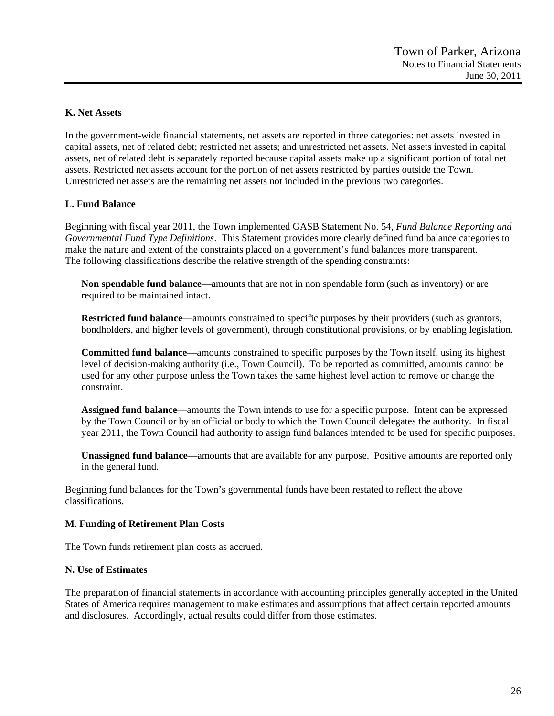### **K. Net Assets**

In the government-wide financial statements, net assets are reported in three categories: net assets invested in capital assets, net of related debt; restricted net assets; and unrestricted net assets. Net assets invested in capital assets, net of related debt is separately reported because capital assets make up a significant portion of total net assets. Restricted net assets account for the portion of net assets restricted by parties outside the Town. Unrestricted net assets are the remaining net assets not included in the previous two categories.

# **L. Fund Balance**

Beginning with fiscal year 2011, the Town implemented GASB Statement No. 54, *Fund Balance Reporting and Governmental Fund Type Definitions*. This Statement provides more clearly defined fund balance categories to make the nature and extent of the constraints placed on a government's fund balances more transparent. The following classifications describe the relative strength of the spending constraints:

**Non spendable fund balance**—amounts that are not in non spendable form (such as inventory) or are required to be maintained intact.

**Restricted fund balance**—amounts constrained to specific purposes by their providers (such as grantors, bondholders, and higher levels of government), through constitutional provisions, or by enabling legislation.

**Committed fund balance**—amounts constrained to specific purposes by the Town itself, using its highest level of decision-making authority (i.e., Town Council). To be reported as committed, amounts cannot be used for any other purpose unless the Town takes the same highest level action to remove or change the constraint.

**Assigned fund balance**—amounts the Town intends to use for a specific purpose. Intent can be expressed by the Town Council or by an official or body to which the Town Council delegates the authority. In fiscal year 2011, the Town Council had authority to assign fund balances intended to be used for specific purposes.

**Unassigned fund balance**—amounts that are available for any purpose. Positive amounts are reported only in the general fund.

Beginning fund balances for the Town's governmental funds have been restated to reflect the above classifications.

### **M. Funding of Retirement Plan Costs**

The Town funds retirement plan costs as accrued.

### **N. Use of Estimates**

The preparation of financial statements in accordance with accounting principles generally accepted in the United States of America requires management to make estimates and assumptions that affect certain reported amounts and disclosures. Accordingly, actual results could differ from those estimates.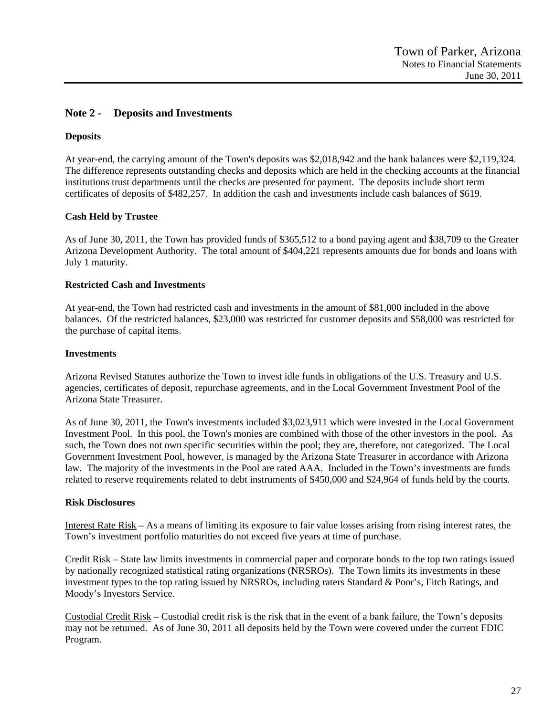### **Note 2 - Deposits and Investments**

### **Deposits**

At year-end, the carrying amount of the Town's deposits was \$2,018,942 and the bank balances were \$2,119,324. The difference represents outstanding checks and deposits which are held in the checking accounts at the financial institutions trust departments until the checks are presented for payment. The deposits include short term certificates of deposits of \$482,257. In addition the cash and investments include cash balances of \$619.

### **Cash Held by Trustee**

As of June 30, 2011, the Town has provided funds of \$365,512 to a bond paying agent and \$38,709 to the Greater Arizona Development Authority. The total amount of \$404,221 represents amounts due for bonds and loans with July 1 maturity.

#### **Restricted Cash and Investments**

At year-end, the Town had restricted cash and investments in the amount of \$81,000 included in the above balances. Of the restricted balances, \$23,000 was restricted for customer deposits and \$58,000 was restricted for the purchase of capital items.

#### **Investments**

Arizona Revised Statutes authorize the Town to invest idle funds in obligations of the U.S. Treasury and U.S. agencies, certificates of deposit, repurchase agreements, and in the Local Government Investment Pool of the Arizona State Treasurer.

As of June 30, 2011, the Town's investments included \$3,023,911 which were invested in the Local Government Investment Pool. In this pool, the Town's monies are combined with those of the other investors in the pool. As such, the Town does not own specific securities within the pool; they are, therefore, not categorized. The Local Government Investment Pool, however, is managed by the Arizona State Treasurer in accordance with Arizona law. The majority of the investments in the Pool are rated AAA. Included in the Town's investments are funds related to reserve requirements related to debt instruments of \$450,000 and \$24,964 of funds held by the courts.

### **Risk Disclosures**

Interest Rate Risk – As a means of limiting its exposure to fair value losses arising from rising interest rates, the Town's investment portfolio maturities do not exceed five years at time of purchase.

Credit Risk – State law limits investments in commercial paper and corporate bonds to the top two ratings issued by nationally recognized statistical rating organizations (NRSROs). The Town limits its investments in these investment types to the top rating issued by NRSROs, including raters Standard & Poor's, Fitch Ratings, and Moody's Investors Service.

Custodial Credit Risk – Custodial credit risk is the risk that in the event of a bank failure, the Town's deposits may not be returned. As of June 30, 2011 all deposits held by the Town were covered under the current FDIC Program.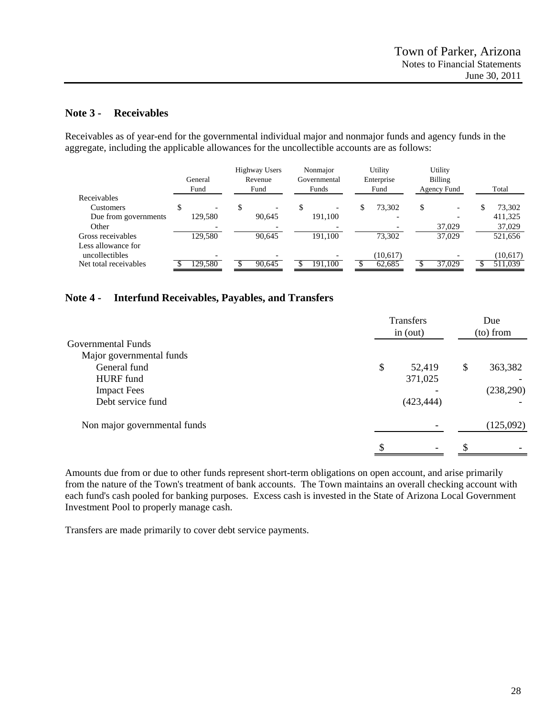### **Note 3 - Receivables**

Receivables as of year-end for the governmental individual major and nonmajor funds and agency funds in the aggregate, including the applicable allowances for the uncollectible accounts are as follows:

| Total    |
|----------|
|          |
| 73,302   |
| 411,325  |
| 37,029   |
| 521,656  |
|          |
| (10,617) |
| 511.039  |
|          |

# **Note 4 - Interfund Receivables, Payables, and Transfers**

|                              | Transfers<br>in (out) |            | Due<br>(to) from |           |
|------------------------------|-----------------------|------------|------------------|-----------|
| Governmental Funds           |                       |            |                  |           |
| Major governmental funds     |                       |            |                  |           |
| General fund                 | \$                    | 52,419     | \$               | 363,382   |
| HURF fund                    |                       | 371,025    |                  |           |
| <b>Impact Fees</b>           |                       |            |                  | (238,290) |
| Debt service fund            |                       | (423, 444) |                  |           |
| Non major governmental funds |                       |            |                  | (125,092) |
|                              |                       |            | S                |           |

Amounts due from or due to other funds represent short-term obligations on open account, and arise primarily from the nature of the Town's treatment of bank accounts. The Town maintains an overall checking account with each fund's cash pooled for banking purposes. Excess cash is invested in the State of Arizona Local Government Investment Pool to properly manage cash.

Transfers are made primarily to cover debt service payments.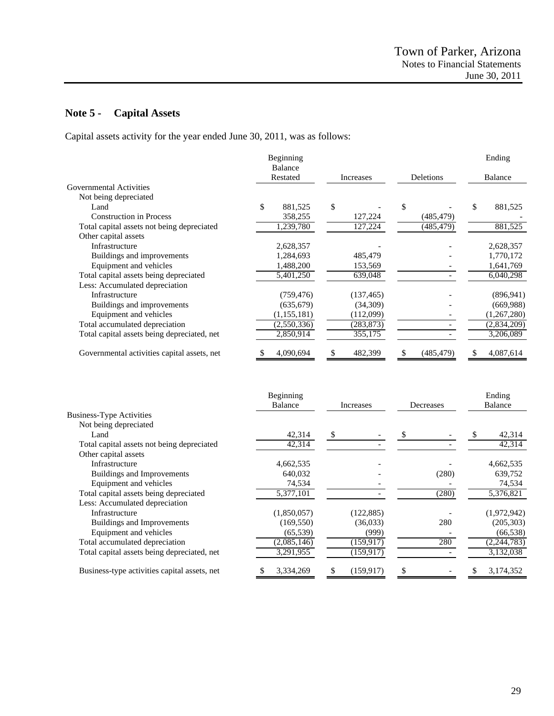# **Note 5 - Capital Assets**

Capital assets activity for the year ended June 30, 2011, was as follows:

|                                             | Beginning<br>Balance |              |                  | Ending          |
|---------------------------------------------|----------------------|--------------|------------------|-----------------|
|                                             | Restated             | Increases    | Deletions        | Balance         |
| Governmental Activities                     |                      |              |                  |                 |
| Not being depreciated                       |                      |              |                  |                 |
| Land                                        | \$<br>881,525        | \$           | \$               | \$<br>881,525   |
| <b>Construction in Process</b>              | 358,255              | 127,224      | (485, 479)       |                 |
| Total capital assets not being depreciated  | ,239,780             | 127,224      | (485, 479)       | 881,525         |
| Other capital assets                        |                      |              |                  |                 |
| Infrastructure                              | 2,628,357            |              |                  | 2,628,357       |
| Buildings and improvements                  | 1,284,693            | 485,479      |                  | 1,770,172       |
| Equipment and vehicles                      | 1,488,200            | 153,569      |                  | 1,641,769       |
| Total capital assets being depreciated      | 5,401,250            | 639,048      |                  | 6,040,298       |
| Less: Accumulated depreciation              |                      |              |                  |                 |
| Infrastructure                              | (759, 476)           | (137, 465)   |                  | (896, 941)      |
| Buildings and improvements                  | (635, 679)           | (34,309)     |                  | (669,988)       |
| Equipment and vehicles                      | (1, 155, 181)        | (112,099)    |                  | (1,267,280)     |
| Total accumulated depreciation              | (2,550,336)          | (283, 873)   |                  | (2,834,209)     |
| Total capital assets being depreciated, net | 2,850,914            | 355,175      |                  | 3,206,089       |
| Governmental activities capital assets, net | 4,090,694            | 482,399<br>S | (485, 479)<br>S. | 4,087,614<br>S. |

|             |            |           | Ending         |
|-------------|------------|-----------|----------------|
| Balance     | Increases  | Decreases | <b>Balance</b> |
|             |            |           |                |
|             |            |           |                |
| 42,314      | S          |           | 42,314         |
| 42,314      |            |           | 42,314         |
|             |            |           |                |
| 4,662,535   |            |           | 4,662,535      |
| 640,032     |            | (280)     | 639,752        |
| 74,534      |            |           | 74,534         |
| 5,377,101   |            | (280)     | 5,376,821      |
|             |            |           |                |
| (1,850,057) | (122, 885) |           | (1,972,942)    |
| (169, 550)  | (36,033)   | 280       | (205, 303)     |
| (65, 539)   | (999)      |           | (66, 538)      |
| (2,085,146) | (159, 917) | 280       | (2,244,783)    |
| 3,291,955   | (159, 917) |           | 3,132,038      |
| 3,334,269   | (159, 917) |           | 3,174,352      |
|             | Beginning  |           |                |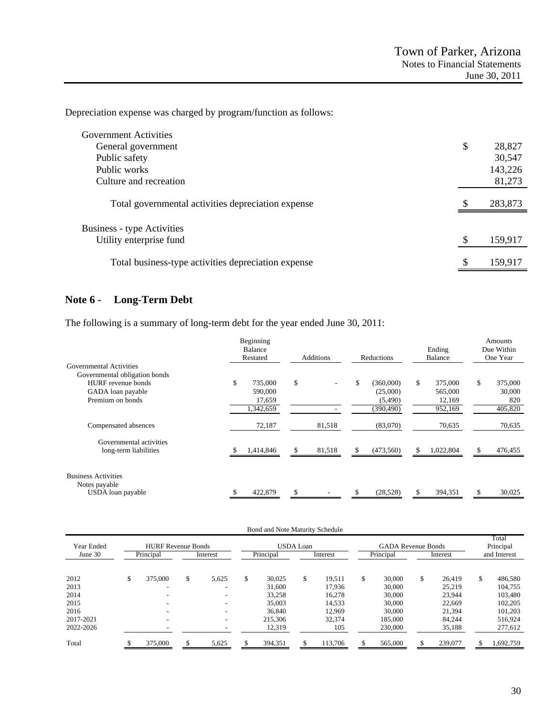Depreciation expense was charged by program/function as follows:

| Government Activities                               |    |         |
|-----------------------------------------------------|----|---------|
| General government                                  | \$ | 28,827  |
| Public safety                                       |    | 30,547  |
| Public works                                        |    | 143,226 |
| Culture and recreation                              |    | 81,273  |
| Total governmental activities depreciation expense  | S  | 283,873 |
| Business - type Activities                          |    |         |
| Utility enterprise fund                             | \$ | 159,917 |
| Total business-type activities depreciation expense | \$ | 159,917 |

# **Note 6 - Long-Term Debt**

The following is a summary of long-term debt for the year ended June 30, 2011:

|                                                                  | Beginning<br>Balance<br>Restated                | Additions    | Reductions                                     | Ending<br>Balance                             | Amounts<br>Due Within<br>One Year         |
|------------------------------------------------------------------|-------------------------------------------------|--------------|------------------------------------------------|-----------------------------------------------|-------------------------------------------|
| Governmental Activities<br>Governmental obligation bonds         |                                                 |              |                                                |                                               |                                           |
| HURF revenue bonds<br>GADA loan payable<br>Premium on bonds      | \$<br>735,000<br>590,000<br>17,659<br>1,342,659 | \$           | (360,000)<br>(25,000)<br>(5,490)<br>(390, 490) | \$<br>375,000<br>565,000<br>12,169<br>952,169 | \$<br>375,000<br>30,000<br>820<br>405,820 |
| Compensated absences                                             | 72,187                                          | 81,518       | (83,070)                                       | 70,635                                        | 70,635                                    |
| Governmental activities<br>long-term liabilities                 | 1,414,846                                       | 81,518<br>S. | (473, 560)                                     | 1,022,804                                     | 476,455<br>\$.                            |
| <b>Business Activities</b><br>Notes payable<br>USDA loan payable | 422,879                                         | S            | (28,528)                                       | 394,351                                       | 30,025<br>S.                              |

|                       |                                        |                          | Bond and Note Maturity Schedule |                  |          |                                        |    |          |                                    |
|-----------------------|----------------------------------------|--------------------------|---------------------------------|------------------|----------|----------------------------------------|----|----------|------------------------------------|
| Year Ended<br>June 30 | <b>HURF Revenue Bonds</b><br>Principal | Interest                 | Principal                       | <b>USDA</b> Loan | Interest | <b>GADA Revenue Bonds</b><br>Principal |    | Interest | Total<br>Principal<br>and Interest |
|                       |                                        |                          |                                 |                  |          |                                        |    |          |                                    |
| 2012                  | \$<br>375,000                          | \$<br>5,625              | \$<br>30.025                    | \$               | 19.511   | \$<br>30,000                           | \$ | 26,419   | \$<br>486,580                      |
| 2013                  |                                        | $\overline{\phantom{0}}$ | 31,600                          |                  | 17.936   | 30,000                                 |    | 25,219   | 104,755                            |
| 2014                  |                                        | $\overline{\phantom{a}}$ | 33,258                          |                  | 16.278   | 30,000                                 |    | 23,944   | 103,480                            |
| 2015                  |                                        |                          | 35,003                          |                  | 14,533   | 30,000                                 |    | 22,669   | 102,205                            |
| 2016                  |                                        | $\overline{\phantom{a}}$ | 36,840                          |                  | 12,969   | 30,000                                 |    | 21,394   | 101,203                            |
| 2017-2021             | $\overline{\phantom{0}}$               | $\overline{\phantom{a}}$ | 215,306                         |                  | 32,374   | 185,000                                |    | 84,244   | 516,924                            |
| 2022-2026             |                                        |                          | 12,319                          |                  | 105      | 230,000                                |    | 35,188   | 277,612                            |
| Total                 | 375,000                                | \$<br>5,625              | 394,351                         |                  | 113,706  | 565,000                                | S  | 239,077  | 1,692,759                          |
|                       |                                        |                          |                                 |                  |          |                                        |    |          |                                    |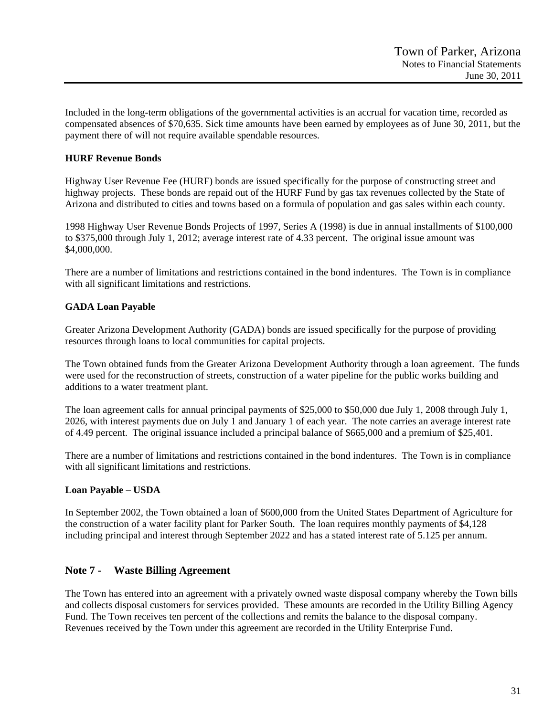Included in the long-term obligations of the governmental activities is an accrual for vacation time, recorded as compensated absences of \$70,635. Sick time amounts have been earned by employees as of June 30, 2011, but the payment there of will not require available spendable resources.

### **HURF Revenue Bonds**

Highway User Revenue Fee (HURF) bonds are issued specifically for the purpose of constructing street and highway projects. These bonds are repaid out of the HURF Fund by gas tax revenues collected by the State of Arizona and distributed to cities and towns based on a formula of population and gas sales within each county.

1998 Highway User Revenue Bonds Projects of 1997, Series A (1998) is due in annual installments of \$100,000 to \$375,000 through July 1, 2012; average interest rate of 4.33 percent. The original issue amount was \$4,000,000.

There are a number of limitations and restrictions contained in the bond indentures. The Town is in compliance with all significant limitations and restrictions.

# **GADA Loan Payable**

Greater Arizona Development Authority (GADA) bonds are issued specifically for the purpose of providing resources through loans to local communities for capital projects.

The Town obtained funds from the Greater Arizona Development Authority through a loan agreement. The funds were used for the reconstruction of streets, construction of a water pipeline for the public works building and additions to a water treatment plant.

The loan agreement calls for annual principal payments of \$25,000 to \$50,000 due July 1, 2008 through July 1, 2026, with interest payments due on July 1 and January 1 of each year. The note carries an average interest rate of 4.49 percent. The original issuance included a principal balance of \$665,000 and a premium of \$25,401.

There are a number of limitations and restrictions contained in the bond indentures. The Town is in compliance with all significant limitations and restrictions.

### **Loan Payable – USDA**

In September 2002, the Town obtained a loan of \$600,000 from the United States Department of Agriculture for the construction of a water facility plant for Parker South. The loan requires monthly payments of \$4,128 including principal and interest through September 2022 and has a stated interest rate of 5.125 per annum.

# **Note 7 - Waste Billing Agreement**

The Town has entered into an agreement with a privately owned waste disposal company whereby the Town bills and collects disposal customers for services provided. These amounts are recorded in the Utility Billing Agency Fund. The Town receives ten percent of the collections and remits the balance to the disposal company. Revenues received by the Town under this agreement are recorded in the Utility Enterprise Fund.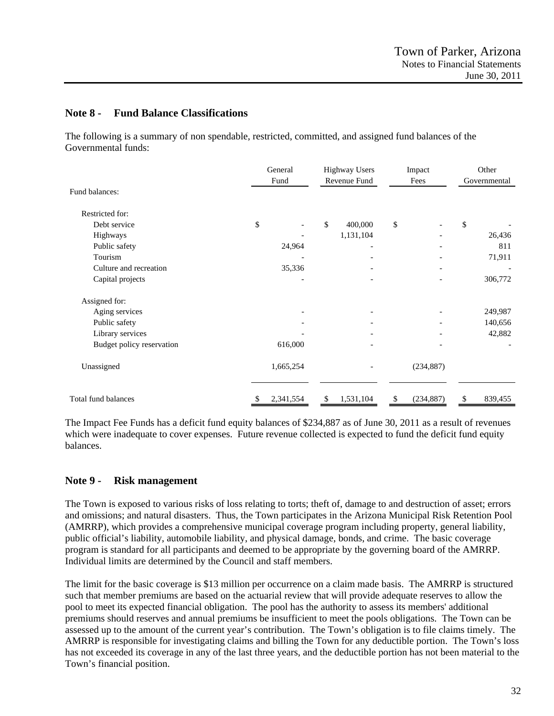### **Note 8 - Fund Balance Classifications**

The following is a summary of non spendable, restricted, committed, and assigned fund balances of the Governmental funds:

|                           | General<br>Fund | <b>Highway Users</b><br>Revenue Fund | Impact<br>Fees               | Other<br>Governmental    |
|---------------------------|-----------------|--------------------------------------|------------------------------|--------------------------|
| Fund balances:            |                 |                                      |                              |                          |
| Restricted for:           |                 |                                      |                              |                          |
| Debt service              | \$              | \$<br>400,000                        | \$                           | \$                       |
| Highways                  |                 | 1,131,104                            |                              | 26,436                   |
| Public safety             | 24,964          |                                      |                              | 811                      |
| Tourism                   |                 |                                      |                              | 71,911                   |
| Culture and recreation    | 35,336          |                                      | $\qquad \qquad \blacksquare$ | $\overline{\phantom{a}}$ |
| Capital projects          |                 |                                      |                              | 306,772                  |
| Assigned for:             |                 |                                      |                              |                          |
| Aging services            |                 |                                      |                              | 249,987                  |
| Public safety             |                 |                                      |                              | 140,656                  |
| Library services          |                 |                                      |                              | 42,882                   |
| Budget policy reservation | 616,000         |                                      |                              |                          |
| Unassigned                | 1,665,254       |                                      | (234, 887)                   |                          |
| Total fund balances       | 2,341,554<br>S  | 1,531,104<br>\$                      | \$<br>(234, 887)             | \$<br>839,455            |

The Impact Fee Funds has a deficit fund equity balances of \$234,887 as of June 30, 2011 as a result of revenues which were inadequate to cover expenses. Future revenue collected is expected to fund the deficit fund equity balances.

# **Note 9 - Risk management**

The Town is exposed to various risks of loss relating to torts; theft of, damage to and destruction of asset; errors and omissions; and natural disasters. Thus, the Town participates in the Arizona Municipal Risk Retention Pool (AMRRP), which provides a comprehensive municipal coverage program including property, general liability, public official's liability, automobile liability, and physical damage, bonds, and crime. The basic coverage program is standard for all participants and deemed to be appropriate by the governing board of the AMRRP. Individual limits are determined by the Council and staff members.

The limit for the basic coverage is \$13 million per occurrence on a claim made basis. The AMRRP is structured such that member premiums are based on the actuarial review that will provide adequate reserves to allow the pool to meet its expected financial obligation. The pool has the authority to assess its members' additional premiums should reserves and annual premiums be insufficient to meet the pools obligations. The Town can be assessed up to the amount of the current year's contribution. The Town's obligation is to file claims timely. The AMRRP is responsible for investigating claims and billing the Town for any deductible portion. The Town's loss has not exceeded its coverage in any of the last three years, and the deductible portion has not been material to the Town's financial position.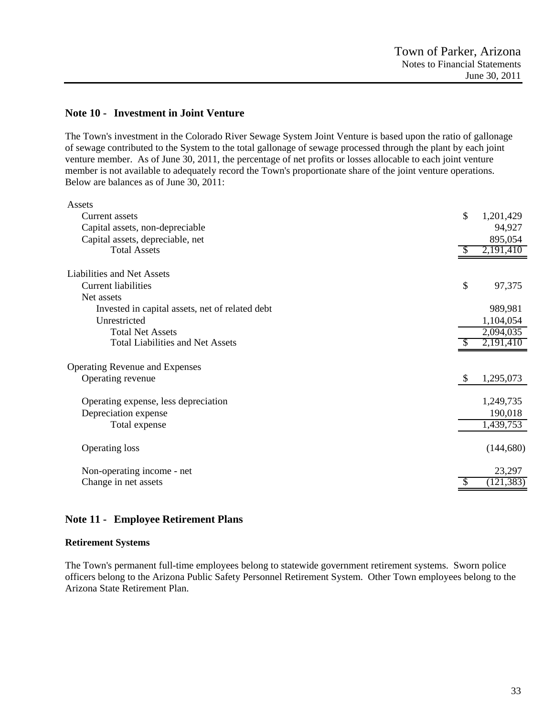### **Note 10 - Investment in Joint Venture**

The Town's investment in the Colorado River Sewage System Joint Venture is based upon the ratio of gallonage of sewage contributed to the System to the total gallonage of sewage processed through the plant by each joint venture member. As of June 30, 2011, the percentage of net profits or losses allocable to each joint venture member is not available to adequately record the Town's proportionate share of the joint venture operations. Below are balances as of June 30, 2011:

| Assets                                          |    |            |
|-------------------------------------------------|----|------------|
| Current assets                                  | \$ | 1,201,429  |
| Capital assets, non-depreciable                 |    | 94,927     |
| Capital assets, depreciable, net                |    | 895,054    |
| <b>Total Assets</b>                             |    | 2,191,410  |
| Liabilities and Net Assets                      |    |            |
| <b>Current liabilities</b>                      | \$ | 97,375     |
| Net assets                                      |    |            |
| Invested in capital assets, net of related debt |    | 989,981    |
| Unrestricted                                    |    | 1,104,054  |
| <b>Total Net Assets</b>                         |    | 2,094,035  |
| <b>Total Liabilities and Net Assets</b>         |    | 2,191,410  |
| Operating Revenue and Expenses                  |    |            |
| Operating revenue                               | S  | 1,295,073  |
| Operating expense, less depreciation            |    | 1,249,735  |
| Depreciation expense                            |    | 190,018    |
| Total expense                                   |    | 1,439,753  |
| <b>Operating loss</b>                           |    | (144, 680) |
| Non-operating income - net                      |    | 23,297     |
| Change in net assets                            |    | (121, 383) |

### **Note 11 - Employee Retirement Plans**

#### **Retirement Systems**

The Town's permanent full-time employees belong to statewide government retirement systems. Sworn police officers belong to the Arizona Public Safety Personnel Retirement System. Other Town employees belong to the Arizona State Retirement Plan.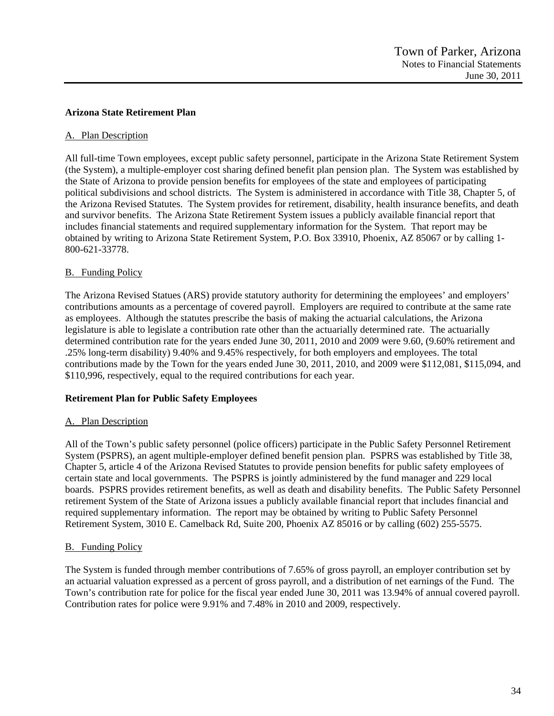### **Arizona State Retirement Plan**

### A. Plan Description

All full-time Town employees, except public safety personnel, participate in the Arizona State Retirement System (the System), a multiple-employer cost sharing defined benefit plan pension plan. The System was established by the State of Arizona to provide pension benefits for employees of the state and employees of participating political subdivisions and school districts. The System is administered in accordance with Title 38, Chapter 5, of the Arizona Revised Statutes. The System provides for retirement, disability, health insurance benefits, and death and survivor benefits. The Arizona State Retirement System issues a publicly available financial report that includes financial statements and required supplementary information for the System. That report may be obtained by writing to Arizona State Retirement System, P.O. Box 33910, Phoenix, AZ 85067 or by calling 1- 800-621-33778.

### B. Funding Policy

The Arizona Revised Statues (ARS) provide statutory authority for determining the employees' and employers' contributions amounts as a percentage of covered payroll. Employers are required to contribute at the same rate as employees. Although the statutes prescribe the basis of making the actuarial calculations, the Arizona legislature is able to legislate a contribution rate other than the actuarially determined rate. The actuarially determined contribution rate for the years ended June 30, 2011, 2010 and 2009 were 9.60, (9.60% retirement and .25% long-term disability) 9.40% and 9.45% respectively, for both employers and employees. The total contributions made by the Town for the years ended June 30, 2011, 2010, and 2009 were \$112,081, \$115,094, and \$110,996, respectively, equal to the required contributions for each year.

# **Retirement Plan for Public Safety Employees**

### A. Plan Description

All of the Town's public safety personnel (police officers) participate in the Public Safety Personnel Retirement System (PSPRS), an agent multiple-employer defined benefit pension plan. PSPRS was established by Title 38, Chapter 5, article 4 of the Arizona Revised Statutes to provide pension benefits for public safety employees of certain state and local governments. The PSPRS is jointly administered by the fund manager and 229 local boards. PSPRS provides retirement benefits, as well as death and disability benefits. The Public Safety Personnel retirement System of the State of Arizona issues a publicly available financial report that includes financial and required supplementary information. The report may be obtained by writing to Public Safety Personnel Retirement System, 3010 E. Camelback Rd, Suite 200, Phoenix AZ 85016 or by calling (602) 255-5575.

# B. Funding Policy

The System is funded through member contributions of 7.65% of gross payroll, an employer contribution set by an actuarial valuation expressed as a percent of gross payroll, and a distribution of net earnings of the Fund. The Town's contribution rate for police for the fiscal year ended June 30, 2011 was 13.94% of annual covered payroll. Contribution rates for police were 9.91% and 7.48% in 2010 and 2009, respectively.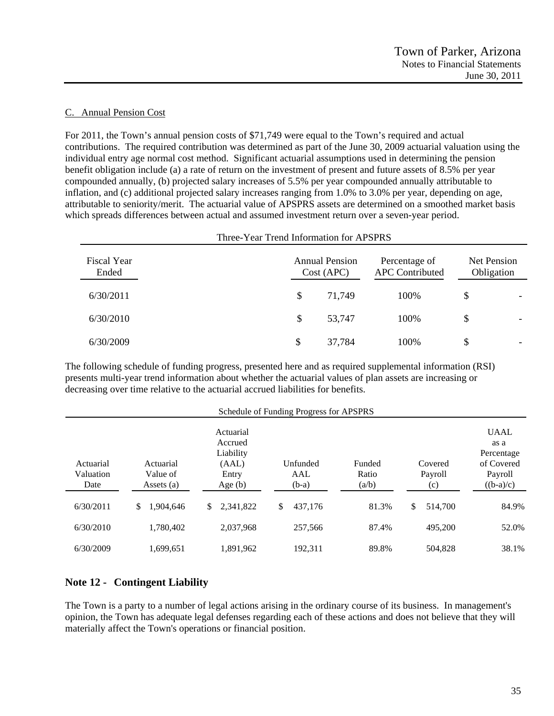### C. Annual Pension Cost

For 2011, the Town's annual pension costs of \$71,749 were equal to the Town's required and actual contributions. The required contribution was determined as part of the June 30, 2009 actuarial valuation using the individual entry age normal cost method. Significant actuarial assumptions used in determining the pension benefit obligation include (a) a rate of return on the investment of present and future assets of 8.5% per year compounded annually, (b) projected salary increases of 5.5% per year compounded annually attributable to inflation, and (c) additional projected salary increases ranging from 1.0% to 3.0% per year, depending on age, attributable to seniority/merit. The actuarial value of APSPRS assets are determined on a smoothed market basis which spreads differences between actual and assumed investment return over a seven-year period.

| Three-Year Trend Information for APSPRS |    |                                                                                |       |                           |                          |  |  |
|-----------------------------------------|----|--------------------------------------------------------------------------------|-------|---------------------------|--------------------------|--|--|
| Fiscal Year<br>Ended                    |    | <b>Annual Pension</b><br>Percentage of<br><b>APC</b> Contributed<br>Cost (APC) |       | Net Pension<br>Obligation |                          |  |  |
| 6/30/2011                               | \$ | 71,749                                                                         | 100\% | \$                        |                          |  |  |
| 6/30/2010                               | \$ | 53,747                                                                         | 100\% | \$                        |                          |  |  |
| 6/30/2009                               | \$ | 37,784                                                                         | 100%  | \$                        | $\overline{\phantom{0}}$ |  |  |

The following schedule of funding progress, presented here and as required supplemental information (RSI) presents multi-year trend information about whether the actuarial values of plan assets are increasing or decreasing over time relative to the actuarial accrued liabilities for benefits.

|                                |                                       |                                                                  | Schedule of Funding Progress for APSPRS |                          |                           |                                                                           |
|--------------------------------|---------------------------------------|------------------------------------------------------------------|-----------------------------------------|--------------------------|---------------------------|---------------------------------------------------------------------------|
| Actuarial<br>Valuation<br>Date | Actuarial<br>Value of<br>Assets $(a)$ | Actuarial<br>Accrued<br>Liability<br>(AAL)<br>Entry<br>Age $(b)$ | Unfunded<br>AAL<br>$(b-a)$              | Funded<br>Ratio<br>(a/b) | Covered<br>Payroll<br>(c) | <b>UAAL</b><br>as a<br>Percentage<br>of Covered<br>Payroll<br>$((b-a)/c)$ |
| 6/30/2011                      | 1.904.646<br>\$                       | 2.341.822<br>\$                                                  | 437,176<br>S.                           | 81.3%                    | \$<br>514,700             | 84.9%                                                                     |
| 6/30/2010                      | 1.780.402                             | 2,037,968                                                        | 257,566                                 | 87.4%                    | 495,200                   | 52.0%                                                                     |
| 6/30/2009                      | 1,699,651                             | 1,891,962                                                        | 192.311                                 | 89.8%                    | 504,828                   | 38.1%                                                                     |

# **Note 12 - Contingent Liability**

The Town is a party to a number of legal actions arising in the ordinary course of its business. In management's opinion, the Town has adequate legal defenses regarding each of these actions and does not believe that they will materially affect the Town's operations or financial position.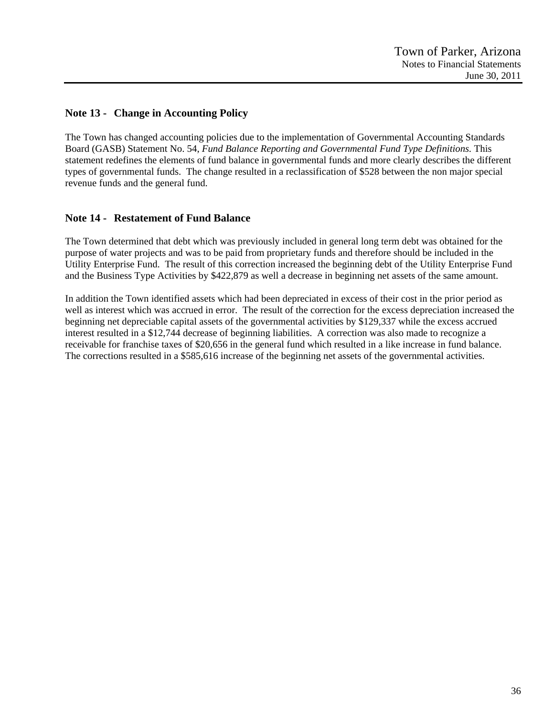# **Note 13 - Change in Accounting Policy**

The Town has changed accounting policies due to the implementation of Governmental Accounting Standards Board (GASB) Statement No. 54, *Fund Balance Reporting and Governmental Fund Type Definitions.* This statement redefines the elements of fund balance in governmental funds and more clearly describes the different types of governmental funds. The change resulted in a reclassification of \$528 between the non major special revenue funds and the general fund.

# **Note 14 - Restatement of Fund Balance**

The Town determined that debt which was previously included in general long term debt was obtained for the purpose of water projects and was to be paid from proprietary funds and therefore should be included in the Utility Enterprise Fund. The result of this correction increased the beginning debt of the Utility Enterprise Fund and the Business Type Activities by \$422,879 as well a decrease in beginning net assets of the same amount.

In addition the Town identified assets which had been depreciated in excess of their cost in the prior period as well as interest which was accrued in error. The result of the correction for the excess depreciation increased the beginning net depreciable capital assets of the governmental activities by \$129,337 while the excess accrued interest resulted in a \$12,744 decrease of beginning liabilities. A correction was also made to recognize a receivable for franchise taxes of \$20,656 in the general fund which resulted in a like increase in fund balance. The corrections resulted in a \$585,616 increase of the beginning net assets of the governmental activities.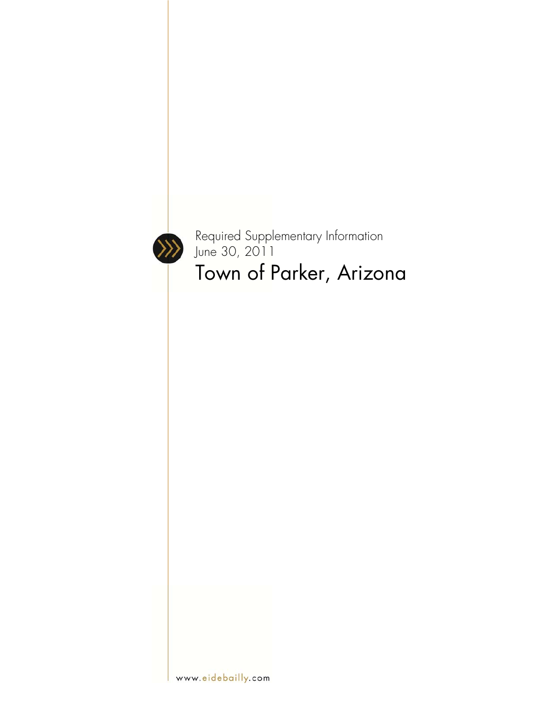

Required Supplementary Information June 30, 2011 Town of Parker, Arizona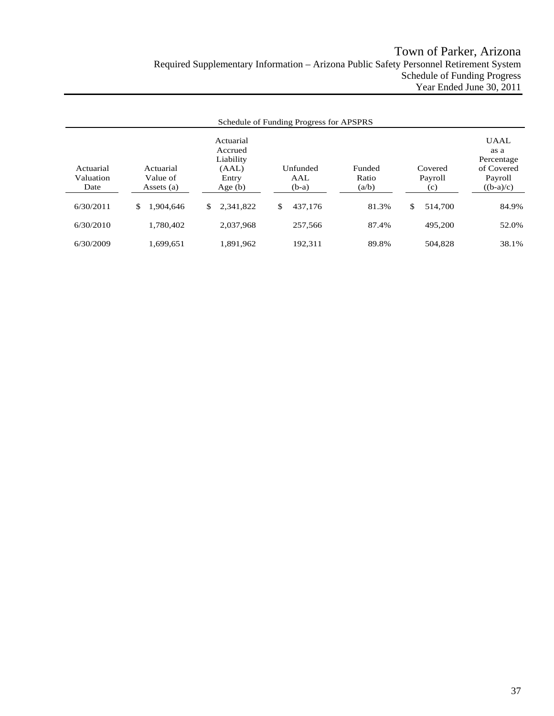|                                |                                     |                                                                  | Schedule of Funding Progress for APSPRS |                          |                           |                                                                           |
|--------------------------------|-------------------------------------|------------------------------------------------------------------|-----------------------------------------|--------------------------|---------------------------|---------------------------------------------------------------------------|
| Actuarial<br>Valuation<br>Date | Actuarial<br>Value of<br>Assets (a) | Actuarial<br>Accrued<br>Liability<br>(AAL)<br>Entry<br>Age $(b)$ | Unfunded<br>AAL<br>$(b-a)$              | Funded<br>Ratio<br>(a/b) | Covered<br>Payroll<br>(c) | <b>UAAL</b><br>as a<br>Percentage<br>of Covered<br>Payroll<br>$((b-a)/c)$ |
| 6/30/2011                      | \$<br>1.904.646                     | 2,341,822<br>\$                                                  | \$<br>437.176                           | 81.3%                    | \$<br>514,700             | 84.9%                                                                     |
| 6/30/2010                      | 1.780.402                           | 2.037.968                                                        | 257,566                                 | 87.4%                    | 495.200                   | 52.0%                                                                     |
| 6/30/2009                      | 1.699.651                           | 1.891.962                                                        | 192.311                                 | 89.8%                    | 504.828                   | 38.1%                                                                     |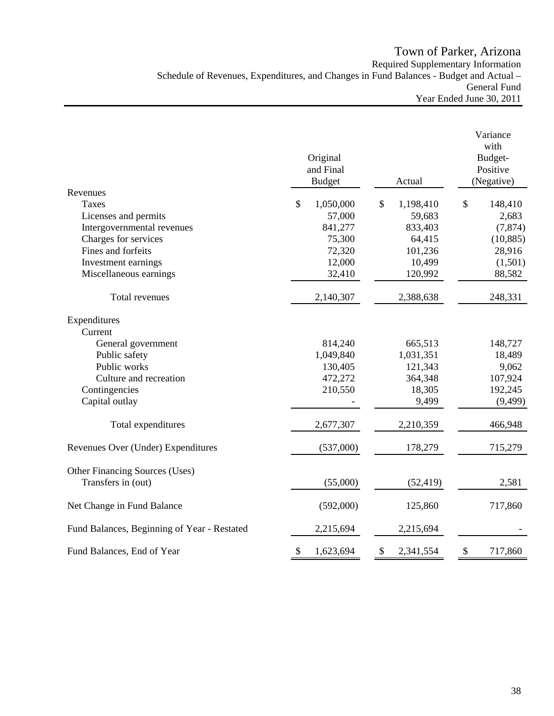Town of Parker, Arizona Required Supplementary Information Schedule of Revenues, Expenditures, and Changes in Fund Balances - Budget and Actual – General Fund Year Ended June 30, 2011

|                                                      | Original<br>and Final<br><b>Budget</b> | Actual          | Variance<br>with<br>Budget-<br>Positive<br>(Negative) |
|------------------------------------------------------|----------------------------------------|-----------------|-------------------------------------------------------|
| Revenues                                             |                                        |                 |                                                       |
| <b>Taxes</b>                                         | \$<br>1,050,000                        | \$<br>1,198,410 | \$<br>148,410                                         |
| Licenses and permits                                 | 57,000                                 | 59,683          | 2,683                                                 |
| Intergovernmental revenues                           | 841,277                                | 833,403         | (7, 874)                                              |
| Charges for services<br>Fines and forfeits           | 75,300                                 | 64,415          | (10, 885)                                             |
|                                                      | 72,320                                 | 101,236         | 28,916                                                |
| Investment earnings                                  | 12,000                                 | 10,499          | (1,501)                                               |
| Miscellaneous earnings                               | 32,410                                 | 120,992         | 88,582                                                |
| Total revenues                                       | 2,140,307                              | 2,388,638       | 248,331                                               |
| Expenditures                                         |                                        |                 |                                                       |
| Current                                              |                                        |                 |                                                       |
| General government                                   | 814,240                                | 665,513         | 148,727                                               |
| Public safety                                        | 1,049,840                              | 1,031,351       | 18,489                                                |
| Public works                                         | 130,405                                | 121,343         | 9,062                                                 |
| Culture and recreation                               | 472,272                                | 364,348         | 107,924                                               |
| Contingencies                                        | 210,550                                | 18,305          | 192,245                                               |
| Capital outlay                                       |                                        | 9,499           | (9, 499)                                              |
| Total expenditures                                   | 2,677,307                              | 2,210,359       | 466,948                                               |
| Revenues Over (Under) Expenditures                   | (537,000)                              | 178,279         | 715,279                                               |
|                                                      |                                        |                 |                                                       |
| Other Financing Sources (Uses)<br>Transfers in (out) | (55,000)                               | (52, 419)       | 2,581                                                 |
|                                                      |                                        |                 |                                                       |
| Net Change in Fund Balance                           | (592,000)                              | 125,860         | 717,860                                               |
| Fund Balances, Beginning of Year - Restated          | 2,215,694                              | 2,215,694       |                                                       |
| Fund Balances, End of Year                           | $\boldsymbol{\mathsf{S}}$<br>1,623,694 | 2,341,554<br>\$ | \$<br>717,860                                         |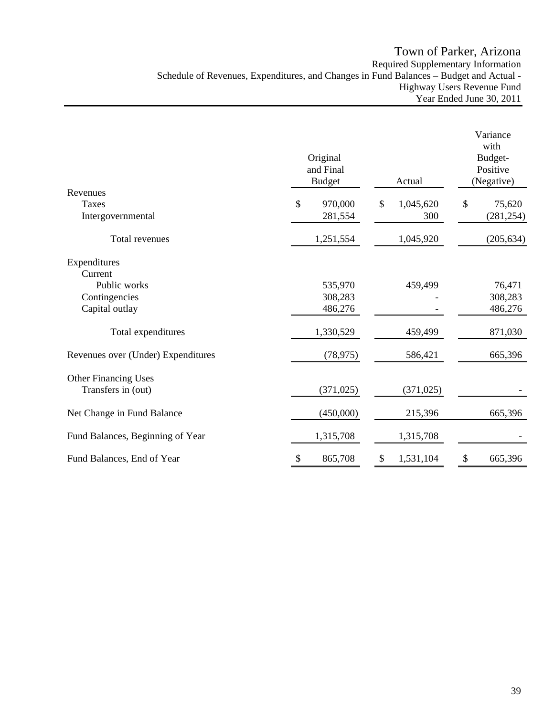# Town of Parker, Arizona Required Supplementary Information Schedule of Revenues, Expenditures, and Changes in Fund Balances – Budget and Actual - Highway Users Revenue Fund Year Ended June 30, 2011

|                                    |                                        |                 | Variance<br>with                  |
|------------------------------------|----------------------------------------|-----------------|-----------------------------------|
|                                    | Original<br>and Final<br><b>Budget</b> | Actual          | Budget-<br>Positive<br>(Negative) |
| Revenues<br><b>Taxes</b>           | \$<br>970,000                          | 1,045,620<br>\$ | \$<br>75,620                      |
| Intergovernmental                  | 281,554                                | 300             | (281, 254)                        |
| Total revenues                     | 1,251,554                              | 1,045,920       | (205, 634)                        |
| Expenditures                       |                                        |                 |                                   |
| Current<br>Public works            | 535,970                                | 459,499         | 76,471                            |
| Contingencies                      | 308,283                                |                 | 308,283                           |
| Capital outlay                     | 486,276                                |                 | 486,276                           |
| Total expenditures                 | 1,330,529                              | 459,499         | 871,030                           |
| Revenues over (Under) Expenditures | (78, 975)                              | 586,421         | 665,396                           |
| <b>Other Financing Uses</b>        |                                        |                 |                                   |
| Transfers in (out)                 | (371, 025)                             | (371, 025)      |                                   |
| Net Change in Fund Balance         | (450,000)                              | 215,396         | 665,396                           |
| Fund Balances, Beginning of Year   | 1,315,708                              | 1,315,708       |                                   |
| Fund Balances, End of Year         | 865,708<br>\$                          | 1,531,104<br>\$ | 665,396<br>\$                     |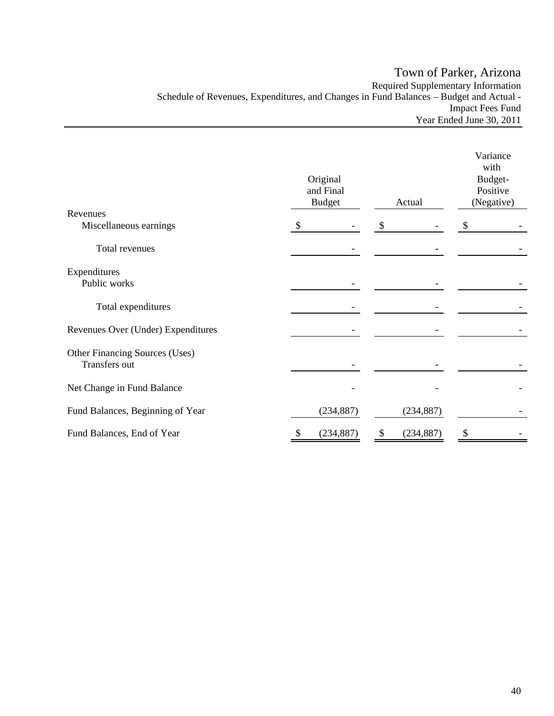# Town of Parker, Arizona Required Supplementary Information Schedule of Revenues, Expenditures, and Changes in Fund Balances – Budget and Actual - Impact Fees Fund Year Ended June 30, 2011

|                                                 | Original<br>and Final<br><b>Budget</b> | Variance<br>with<br>Budget-<br>Positive<br>(Negative) |                  |    |  |
|-------------------------------------------------|----------------------------------------|-------------------------------------------------------|------------------|----|--|
| Revenues<br>Miscellaneous earnings              | \$                                     |                                                       | \$               | \$ |  |
| Total revenues                                  |                                        |                                                       |                  |    |  |
| Expenditures<br>Public works                    |                                        |                                                       |                  |    |  |
| Total expenditures                              |                                        |                                                       |                  |    |  |
| Revenues Over (Under) Expenditures              |                                        |                                                       |                  |    |  |
| Other Financing Sources (Uses)<br>Transfers out |                                        |                                                       |                  |    |  |
| Net Change in Fund Balance                      |                                        |                                                       |                  |    |  |
| Fund Balances, Beginning of Year                |                                        | (234, 887)                                            | (234, 887)       |    |  |
| Fund Balances, End of Year                      | 2                                      | (234, 887)                                            | \$<br>(234, 887) | \$ |  |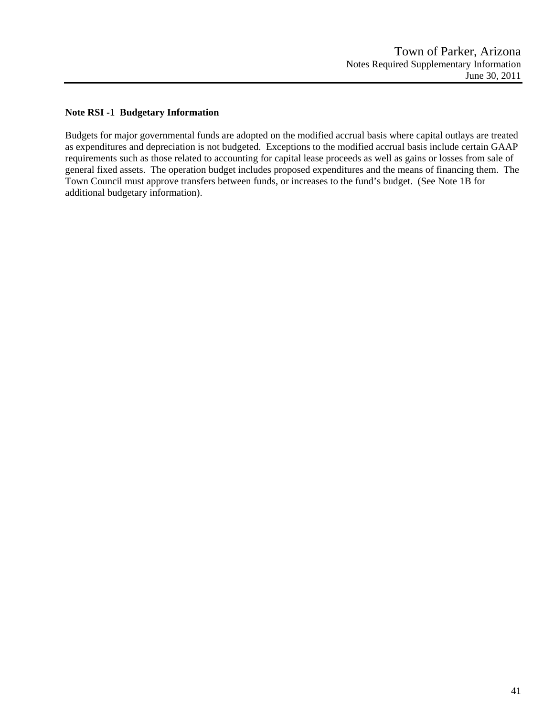### **Note RSI -1 Budgetary Information**

Budgets for major governmental funds are adopted on the modified accrual basis where capital outlays are treated as expenditures and depreciation is not budgeted. Exceptions to the modified accrual basis include certain GAAP requirements such as those related to accounting for capital lease proceeds as well as gains or losses from sale of general fixed assets. The operation budget includes proposed expenditures and the means of financing them. The Town Council must approve transfers between funds, or increases to the fund's budget. (See Note 1B for additional budgetary information).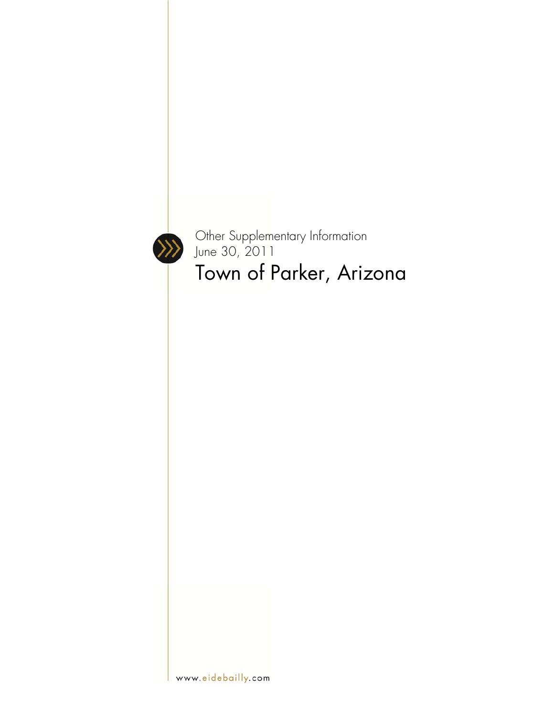

Other Supplementary Information June 30, 2011 Town of Parker, Arizona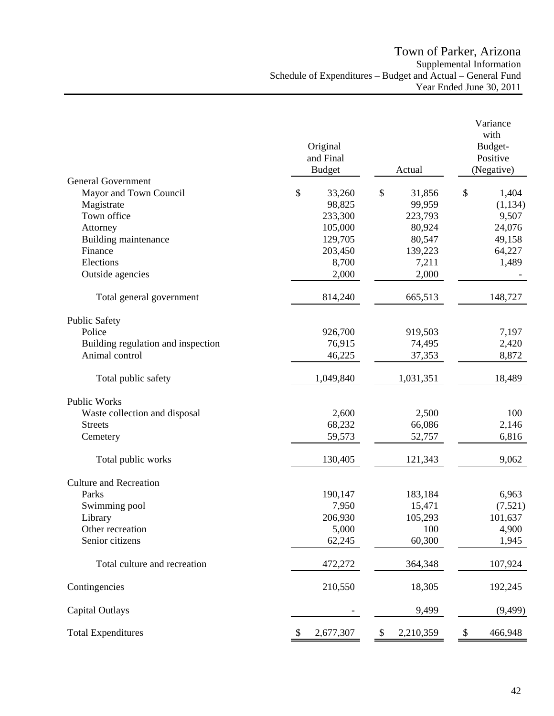|                                    | Original<br>and Final<br><b>Budget</b> | Actual          | Variance<br>with<br>Budget-<br>Positive<br>(Negative) |
|------------------------------------|----------------------------------------|-----------------|-------------------------------------------------------|
| <b>General Government</b>          |                                        |                 |                                                       |
| Mayor and Town Council             | \$<br>33,260                           | \$<br>31,856    | \$<br>1,404                                           |
| Magistrate                         | 98,825                                 | 99,959          | (1, 134)                                              |
| Town office                        | 233,300                                | 223,793         | 9,507                                                 |
| Attorney                           | 105,000                                | 80,924          | 24,076                                                |
| Building maintenance               | 129,705                                | 80,547          | 49,158                                                |
| Finance<br>Elections               | 203,450<br>8,700                       | 139,223         | 64,227                                                |
|                                    |                                        | 7,211           | 1,489                                                 |
| Outside agencies                   | 2,000                                  | 2,000           |                                                       |
| Total general government           | 814,240                                | 665,513         | 148,727                                               |
| <b>Public Safety</b>               |                                        |                 |                                                       |
| Police                             | 926,700                                | 919,503         | 7,197                                                 |
| Building regulation and inspection | 76,915                                 | 74,495          | 2,420                                                 |
| Animal control                     | 46,225                                 | 37,353          | 8,872                                                 |
| Total public safety                | 1,049,840                              | 1,031,351       | 18,489                                                |
| Public Works                       |                                        |                 |                                                       |
| Waste collection and disposal      | 2,600                                  | 2,500           | 100                                                   |
| <b>Streets</b>                     | 68,232                                 | 66,086          | 2,146                                                 |
| Cemetery                           | 59,573                                 | 52,757          | 6,816                                                 |
| Total public works                 | 130,405                                | 121,343         | 9,062                                                 |
| <b>Culture and Recreation</b>      |                                        |                 |                                                       |
| Parks                              | 190,147                                | 183,184         | 6,963                                                 |
| Swimming pool                      | 7,950                                  | 15,471          | (7,521)                                               |
| Library                            | 206,930                                | 105,293         | 101,637                                               |
| Other recreation                   | 5,000                                  | 100             | 4,900                                                 |
| Senior citizens                    | 62,245                                 | 60,300          | 1,945                                                 |
| Total culture and recreation       | 472,272                                | 364,348         | 107,924                                               |
| Contingencies                      | 210,550                                | 18,305          | 192,245                                               |
| Capital Outlays                    |                                        | 9,499           | (9, 499)                                              |
| <b>Total Expenditures</b>          | 2,677,307<br>\$                        | 2,210,359<br>\$ | 466,948<br>\$                                         |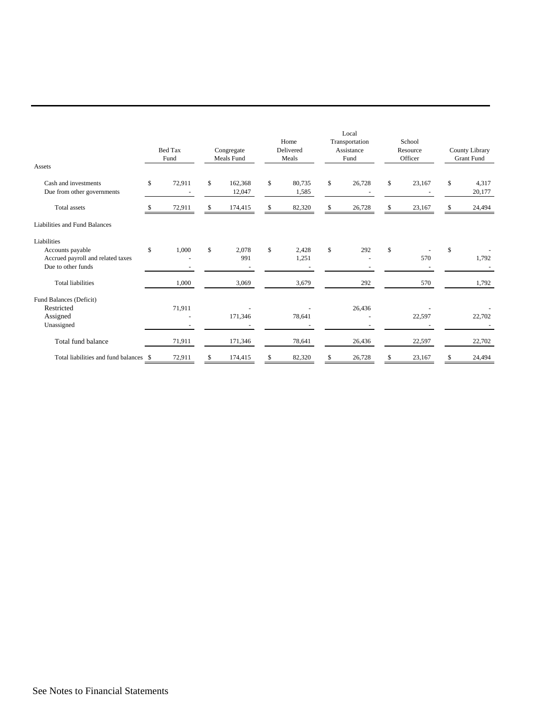| Assets                                                                      |              | <b>Bed Tax</b><br>Fund | Congregate<br>Meals Fund |              | Home<br>Delivered<br>Meals | Local<br>Transportation<br>Assistance<br>Fund |      | School<br>Resource<br>Officer | County Library<br><b>Grant Fund</b> |        |
|-----------------------------------------------------------------------------|--------------|------------------------|--------------------------|--------------|----------------------------|-----------------------------------------------|------|-------------------------------|-------------------------------------|--------|
| Cash and investments                                                        | \$           | 72,911                 | \$                       | 162,368      | \$<br>80,735               | \$<br>26,728                                  | $\$$ | 23,167                        | \$                                  | 4,317  |
| Due from other governments                                                  |              |                        |                          | 12,047       | 1,585                      |                                               |      |                               |                                     | 20,177 |
| <b>Total</b> assets                                                         | -S           | 72,911                 | \$                       | 174,415      | \$<br>82,320               | \$<br>26,728                                  | \$   | 23,167                        | \$                                  | 24,494 |
| Liabilities and Fund Balances                                               |              |                        |                          |              |                            |                                               |      |                               |                                     |        |
| Liabilities                                                                 |              |                        |                          |              |                            |                                               |      |                               |                                     |        |
| Accounts payable<br>Accrued payroll and related taxes<br>Due to other funds | $\mathbb{S}$ | 1,000                  | $\mathbb{S}$             | 2.078<br>991 | \$<br>2,428<br>1,251       | \$<br>292                                     | \$   | 570                           | \$                                  | 1,792  |
| <b>Total liabilities</b>                                                    |              | 1,000                  |                          | 3,069        | 3,679                      | 292                                           |      | 570                           |                                     | 1,792  |
| Fund Balances (Deficit)                                                     |              |                        |                          |              |                            |                                               |      |                               |                                     |        |
| Restricted<br>Assigned<br>Unassigned                                        |              | 71,911                 |                          | 171,346      | 78,641                     | 26,436                                        |      | 22,597                        |                                     | 22,702 |
| Total fund balance                                                          |              | 71,911                 |                          | 171,346      | 78,641                     | 26,436                                        |      | 22,597                        |                                     | 22,702 |
| Total liabilities and fund balances                                         | \$           | 72,911                 | \$                       | 174,415      | \$<br>82,320               | \$<br>26,728                                  | \$   | 23,167                        | \$                                  | 24,494 |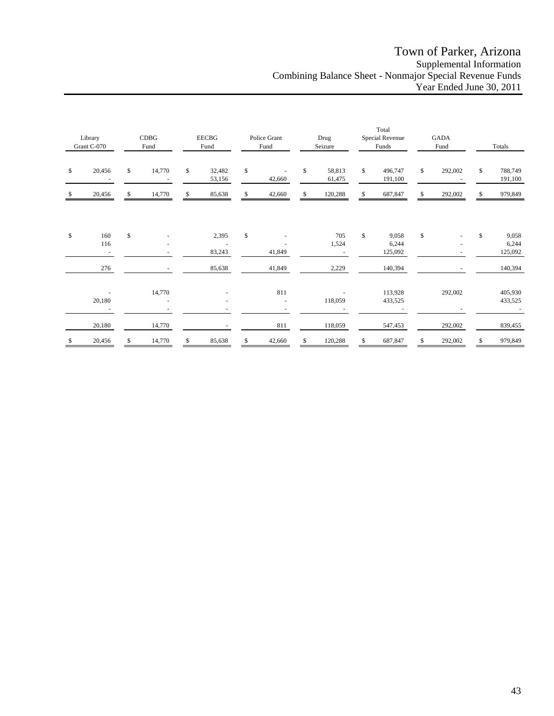# Town of Parker, Arizona Supplemental Information Combining Balance Sheet - Nonmajor Special Revenue Funds Year Ended June 30, 2011

| Library<br>Grant C-070 |                                    | CDBG<br>Fund |                                    | <b>EECBG</b><br>Fund |                                             | Police Grant<br>Fund |        | Drug<br>Seizure |                  | Total<br>Special Revenue<br>Funds |                           | <b>GADA</b><br>Fund |         | Totals |                           |
|------------------------|------------------------------------|--------------|------------------------------------|----------------------|---------------------------------------------|----------------------|--------|-----------------|------------------|-----------------------------------|---------------------------|---------------------|---------|--------|---------------------------|
| \$                     | 20,456                             | \$           | 14,770<br>$\overline{\phantom{a}}$ | \$                   | 32,482<br>53,156                            | \$                   | 42,660 | \$              | 58,813<br>61,475 | \$                                | 496,747<br>191,100        | \$                  | 292,002 | \$     | 788,749<br>191,100        |
| S                      | 20,456                             | \$           | 14,770                             | \$                   | 85,638                                      | \$                   | 42,660 | \$              | 120,288          | \$                                | 687,847                   | \$                  | 292,002 | \$     | 979,849                   |
| \$                     | 160<br>116                         | \$           |                                    |                      | 2,395<br>$\overline{\phantom{a}}$<br>83,243 | \$                   | 41,849 |                 | 705<br>1,524     | \$                                | 9,058<br>6,244<br>125,092 | \$                  |         | \$     | 9,058<br>6,244<br>125,092 |
|                        | 276                                |              | $\overline{\phantom{a}}$           |                      | 85,638                                      |                      | 41,849 |                 | 2,229            |                                   | 140,394                   |                     |         |        | 140,394                   |
|                        | 20,180<br>$\overline{\phantom{a}}$ |              | 14,770                             |                      |                                             |                      | 811    |                 | 118,059          |                                   | 113,928<br>433,525        |                     | 292,002 |        | 405,930<br>433,525        |
|                        | 20,180                             |              | 14,770                             |                      |                                             |                      | 811    |                 | 118,059          |                                   | 547,453                   |                     | 292,002 |        | 839,455                   |
| \$                     | 20,456                             | \$           | 14,770                             | \$                   | 85,638                                      | \$                   | 42,660 | \$              | 120,288          | \$                                | 687,847                   | \$                  | 292,002 | \$     | 979,849                   |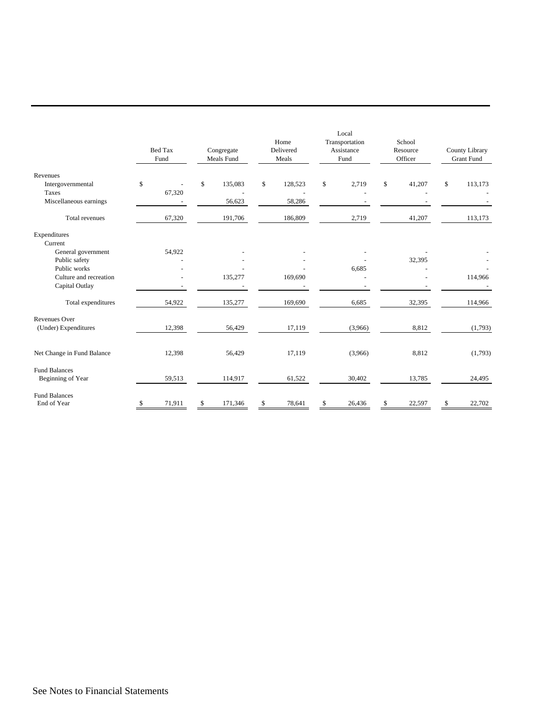|                                     | <b>Bed Tax</b><br>Fund |        | Congregate<br>Meals Fund |         | Home<br>Delivered<br>Meals | Local<br>Transportation<br>Assistance<br>Fund | School<br>Resource<br>Officer | County Library<br><b>Grant Fund</b> |         |
|-------------------------------------|------------------------|--------|--------------------------|---------|----------------------------|-----------------------------------------------|-------------------------------|-------------------------------------|---------|
| Revenues<br>Intergovernmental       | \$                     |        | \$                       | 135,083 | \$<br>128,523              | \$<br>2,719                                   | \$<br>41,207                  | \$                                  | 113,173 |
| Taxes                               |                        | 67,320 |                          |         |                            |                                               |                               |                                     |         |
| Miscellaneous earnings              |                        |        |                          | 56,623  | 58,286                     |                                               |                               |                                     |         |
| Total revenues                      |                        | 67,320 |                          | 191,706 | 186,809                    | 2,719                                         | 41,207                        |                                     | 113,173 |
| Expenditures<br>Current             |                        |        |                          |         |                            |                                               |                               |                                     |         |
| General government                  |                        | 54,922 |                          |         |                            |                                               |                               |                                     |         |
| Public safety                       |                        |        |                          |         |                            |                                               | 32,395                        |                                     |         |
| Public works                        |                        |        |                          |         |                            | 6,685                                         |                               |                                     |         |
| Culture and recreation              |                        |        |                          | 135,277 | 169,690                    |                                               |                               |                                     | 114,966 |
| Capital Outlay                      |                        |        |                          |         |                            |                                               |                               |                                     |         |
| Total expenditures                  |                        | 54,922 |                          | 135,277 | 169,690                    | 6,685                                         | 32,395                        |                                     | 114,966 |
| <b>Revenues Over</b>                |                        |        |                          |         |                            |                                               |                               |                                     |         |
| (Under) Expenditures                |                        | 12,398 |                          | 56,429  | 17,119                     | (3,966)                                       | 8,812                         |                                     | (1,793) |
| Net Change in Fund Balance          |                        | 12,398 |                          | 56,429  | 17,119                     | (3,966)                                       | 8,812                         |                                     | (1,793) |
| <b>Fund Balances</b>                |                        |        |                          |         |                            |                                               |                               |                                     |         |
| Beginning of Year                   |                        | 59,513 |                          | 114,917 | 61,522                     | 30,402                                        | 13,785                        |                                     | 24,495  |
| <b>Fund Balances</b><br>End of Year | \$.                    | 71,911 | \$                       | 171,346 | \$<br>78,641               | \$<br>26,436                                  | \$<br>22,597                  | \$                                  | 22,702  |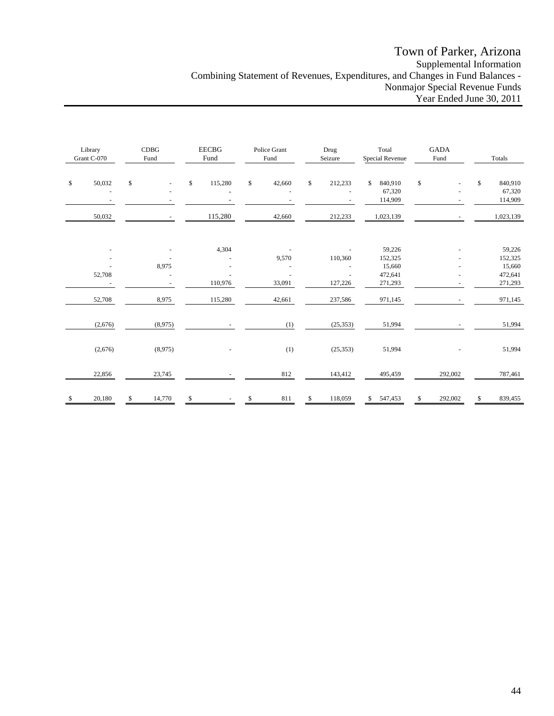# Town of Parker, Arizona Supplemental Information Combining Statement of Revenues, Expenditures, and Changes in Fund Balances - Nonmajor Special Revenue Funds Year Ended June 30, 2011

| Library<br>Grant C-070 |         | CDBG<br>Fund |         | <b>EECBG</b><br>Fund |                  | Police Grant<br>Fund |                 | Drug<br>Seizure |                    | $\operatorname{\mathsf{Total}}$<br>Special Revenue |                                                   | <b>GADA</b><br>Fund |         | Totals      |                                                   |
|------------------------|---------|--------------|---------|----------------------|------------------|----------------------|-----------------|-----------------|--------------------|----------------------------------------------------|---------------------------------------------------|---------------------|---------|-------------|---------------------------------------------------|
| \$                     | 50,032  | \$           |         | \$                   | 115,280          | \$                   | 42,660          | $\$$            | 212,233            | \$                                                 | 840,910<br>67,320<br>114,909                      | \$                  |         | $\mathbb S$ | 840,910<br>67,320<br>114,909                      |
|                        | 50,032  |              |         |                      | 115,280          |                      | 42,660          |                 | 212,233            |                                                    | 1,023,139                                         |                     |         |             | 1,023,139                                         |
|                        | 52,708  |              | 8,975   |                      | 4,304<br>110,976 |                      | 9,570<br>33,091 |                 | 110,360<br>127,226 |                                                    | 59,226<br>152,325<br>15,660<br>472,641<br>271,293 |                     |         |             | 59,226<br>152,325<br>15,660<br>472,641<br>271,293 |
|                        | 52,708  |              | 8,975   |                      | 115,280          |                      | 42,661          |                 | 237,586            |                                                    | 971,145                                           |                     |         |             | 971,145                                           |
|                        | (2,676) |              | (8,975) |                      |                  |                      | (1)             |                 | (25, 353)          |                                                    | 51,994                                            |                     |         |             | 51,994                                            |
|                        | (2,676) |              | (8,975) |                      |                  |                      | (1)             |                 | (25, 353)          |                                                    | 51,994                                            |                     |         |             | 51,994                                            |
|                        | 22,856  |              | 23,745  |                      |                  |                      | 812             |                 | 143,412            |                                                    | 495,459                                           |                     | 292,002 |             | 787,461                                           |
| \$<br>-                | 20,180  | \$           | 14,770  | $\frac{\$}{}$        |                  | \$                   | $811\,$         | \$              | 118,059            | \$                                                 | 547,453                                           | \$                  | 292,002 | \$          | 839,455                                           |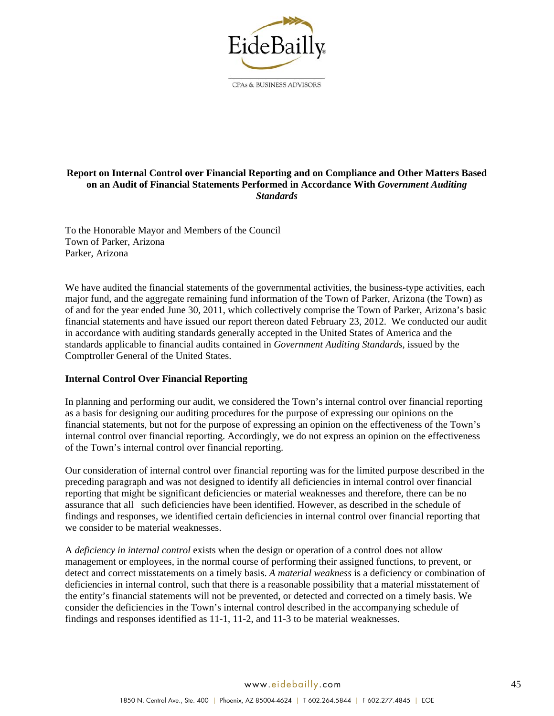

#### **Report on Internal Control over Financial Reporting and on Compliance and Other Matters Based on an Audit of Financial Statements Performed in Accordance With** *Government Auditing Standards*

To the Honorable Mayor and Members of the Council Town of Parker, Arizona Parker, Arizona

We have audited the financial statements of the governmental activities, the business-type activities, each major fund, and the aggregate remaining fund information of the Town of Parker, Arizona (the Town) as of and for the year ended June 30, 2011, which collectively comprise the Town of Parker, Arizona's basic financial statements and have issued our report thereon dated February 23, 2012. We conducted our audit in accordance with auditing standards generally accepted in the United States of America and the standards applicable to financial audits contained in *Government Auditing Standards*, issued by the Comptroller General of the United States.

### **Internal Control Over Financial Reporting**

In planning and performing our audit, we considered the Town's internal control over financial reporting as a basis for designing our auditing procedures for the purpose of expressing our opinions on the financial statements, but not for the purpose of expressing an opinion on the effectiveness of the Town's internal control over financial reporting. Accordingly, we do not express an opinion on the effectiveness of the Town's internal control over financial reporting.

Our consideration of internal control over financial reporting was for the limited purpose described in the preceding paragraph and was not designed to identify all deficiencies in internal control over financial reporting that might be significant deficiencies or material weaknesses and therefore, there can be no assurance that all such deficiencies have been identified. However, as described in the schedule of findings and responses, we identified certain deficiencies in internal control over financial reporting that we consider to be material weaknesses.

A *deficiency in internal control* exists when the design or operation of a control does not allow management or employees, in the normal course of performing their assigned functions, to prevent, or detect and correct misstatements on a timely basis. *A material weakness* is a deficiency or combination of deficiencies in internal control, such that there is a reasonable possibility that a material misstatement of the entity's financial statements will not be prevented, or detected and corrected on a timely basis. We consider the deficiencies in the Town's internal control described in the accompanying schedule of findings and responses identified as 11-1, 11-2, and 11-3 to be material weaknesses.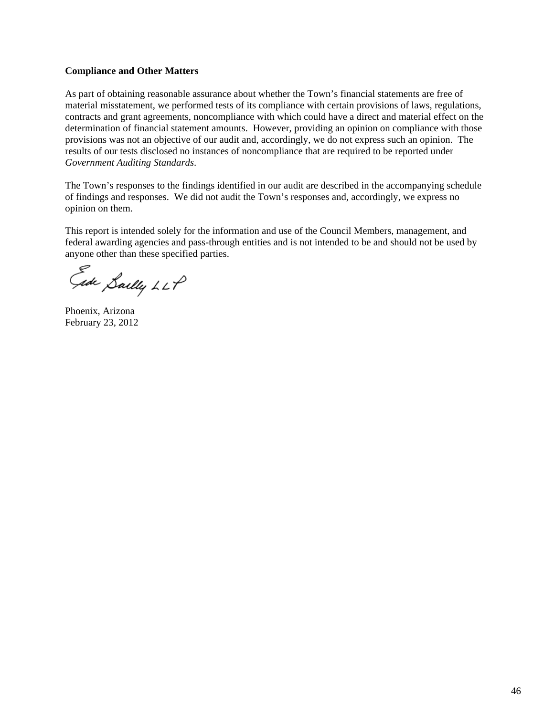### **Compliance and Other Matters**

As part of obtaining reasonable assurance about whether the Town's financial statements are free of material misstatement, we performed tests of its compliance with certain provisions of laws, regulations, contracts and grant agreements, noncompliance with which could have a direct and material effect on the determination of financial statement amounts. However, providing an opinion on compliance with those provisions was not an objective of our audit and, accordingly, we do not express such an opinion. The results of our tests disclosed no instances of noncompliance that are required to be reported under *Government Auditing Standards*.

The Town's responses to the findings identified in our audit are described in the accompanying schedule of findings and responses. We did not audit the Town's responses and, accordingly, we express no opinion on them.

This report is intended solely for the information and use of the Council Members, management, and federal awarding agencies and pass-through entities and is not intended to be and should not be used by anyone other than these specified parties.

Gide Sailly LLP

Phoenix, Arizona February 23, 2012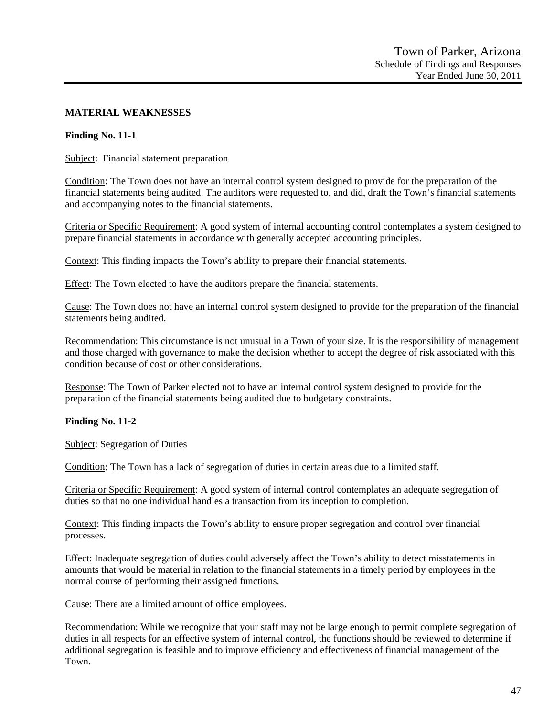### **MATERIAL WEAKNESSES**

### **Finding No. 11-1**

Subject: Financial statement preparation

Condition: The Town does not have an internal control system designed to provide for the preparation of the financial statements being audited. The auditors were requested to, and did, draft the Town's financial statements and accompanying notes to the financial statements.

Criteria or Specific Requirement: A good system of internal accounting control contemplates a system designed to prepare financial statements in accordance with generally accepted accounting principles.

Context: This finding impacts the Town's ability to prepare their financial statements.

Effect: The Town elected to have the auditors prepare the financial statements.

Cause: The Town does not have an internal control system designed to provide for the preparation of the financial statements being audited.

Recommendation: This circumstance is not unusual in a Town of your size. It is the responsibility of management and those charged with governance to make the decision whether to accept the degree of risk associated with this condition because of cost or other considerations.

Response: The Town of Parker elected not to have an internal control system designed to provide for the preparation of the financial statements being audited due to budgetary constraints.

### **Finding No. 11-2**

Subject: Segregation of Duties

Condition: The Town has a lack of segregation of duties in certain areas due to a limited staff.

Criteria or Specific Requirement: A good system of internal control contemplates an adequate segregation of duties so that no one individual handles a transaction from its inception to completion.

Context: This finding impacts the Town's ability to ensure proper segregation and control over financial processes.

Effect: Inadequate segregation of duties could adversely affect the Town's ability to detect misstatements in amounts that would be material in relation to the financial statements in a timely period by employees in the normal course of performing their assigned functions.

Cause: There are a limited amount of office employees.

Recommendation: While we recognize that your staff may not be large enough to permit complete segregation of duties in all respects for an effective system of internal control, the functions should be reviewed to determine if additional segregation is feasible and to improve efficiency and effectiveness of financial management of the Town.